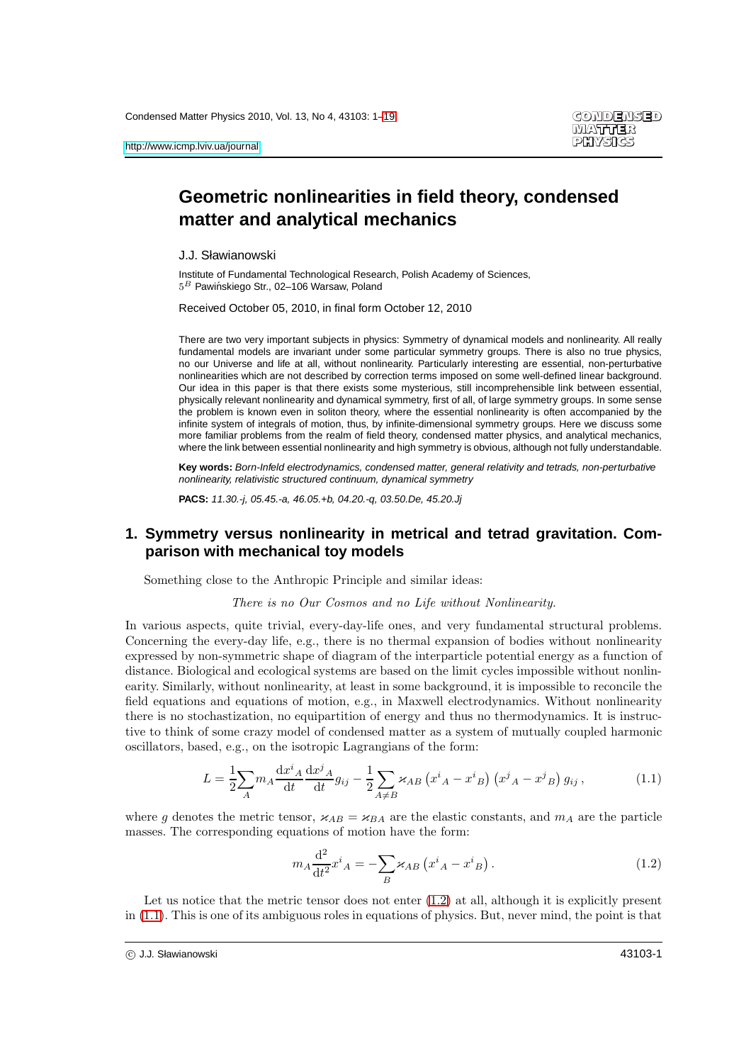# **Geometric nonlinearities in field theory, condensed matter and analytical mechanics**

J.J. Sławianowski

Institute of Fundamental Technological Research, Polish Academy of Sciences,  $5^B$  Pawińskiego Str., 02-106 Warsaw, Poland

Received October 05, 2010, in final form October 12, 2010

There are two very important subjects in physics: Symmetry of dynamical models and nonlinearity. All really fundamental models are invariant under some particular symmetry groups. There is also no true physics, no our Universe and life at all, without nonlinearity. Particularly interesting are essential, non-perturbative nonlinearities which are not described by correction terms imposed on some well-defined linear background. Our idea in this paper is that there exists some mysterious, still incomprehensible link between essential, physically relevant nonlinearity and dynamical symmetry, first of all, of large symmetry groups. In some sense the problem is known even in soliton theory, where the essential nonlinearity is often accompanied by the infinite system of integrals of motion, thus, by infinite-dimensional symmetry groups. Here we discuss some more familiar problems from the realm of field theory, condensed matter physics, and analytical mechanics, where the link between essential nonlinearity and high symmetry is obvious, although not fully understandable.

**Key words:** Born-Infeld electrodynamics, condensed matter, general relativity and tetrads, non-perturbative nonlinearity, relativistic structured continuum, dynamical symmetry

**PACS:** 11.30.-j, 05.45.-a, 46.05.+b, 04.20.-q, 03.50.De, 45.20.Jj

### **1. Symmetry versus nonlinearity in metrical and tetrad gravitation. Comparison with mechanical toy models**

Something close to the Anthropic Principle and similar ideas:

There is no Our Cosmos and no Life without Nonlinearity.

In various aspects, quite trivial, every-day-life ones, and very fundamental structural problems. Concerning the every-day life, e.g., there is no thermal expansion of bodies without nonlinearity expressed by non-symmetric shape of diagram of the interparticle potential energy as a function of distance. Biological and ecological systems are based on the limit cycles impossible without nonlinearity. Similarly, without nonlinearity, at least in some background, it is impossible to reconcile the field equations and equations of motion, e.g., in Maxwell electrodynamics. Without nonlinearity there is no stochastization, no equipartition of energy and thus no thermodynamics. It is instructive to think of some crazy model of condensed matter as a system of mutually coupled harmonic oscillators, based, e.g., on the isotropic Lagrangians of the form:

<span id="page-0-1"></span>
$$
L = \frac{1}{2} \sum_{A} m_{A} \frac{\mathrm{d}x^{i}{}_{A}}{\mathrm{d}t} \frac{\mathrm{d}x^{j}{}_{A}}{\mathrm{d}t} g_{ij} - \frac{1}{2} \sum_{A \neq B} \varkappa_{AB} \left( x^{i}{}_{A} - x^{i}{}_{B} \right) \left( x^{j}{}_{A} - x^{j}{}_{B} \right) g_{ij} , \tag{1.1}
$$

where g denotes the metric tensor,  $\varkappa_{AB} = \varkappa_{BA}$  are the elastic constants, and  $m_A$  are the particle masses. The corresponding equations of motion have the form:

<span id="page-0-0"></span>
$$
m_A \frac{\mathrm{d}^2}{\mathrm{d}t^2} x^i{}_A = -\sum_B \varkappa_{AB} \left( x^i{}_A - x^i{}_B \right). \tag{1.2}
$$

Let us notice that the metric tensor does not enter  $(1.2)$  at all, although it is explicitly present in [\(1.1\)](#page-0-1). This is one of its ambiguous roles in equations of physics. But, never mind, the point is that

c J.J. Sławianowski 43103-1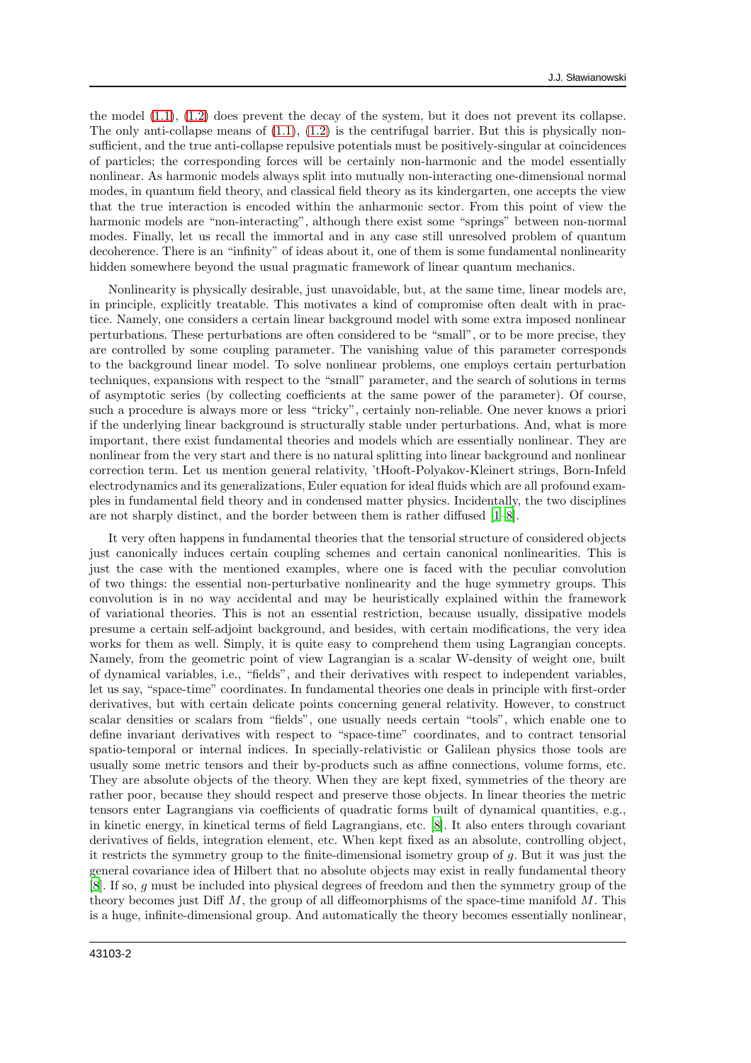the model [\(1.1\)](#page-0-1), [\(1.2\)](#page-0-0) does prevent the decay of the system, but it does not prevent its collapse. The only anti-collapse means of  $(1.1)$ ,  $(1.2)$  is the centrifugal barrier. But this is physically nonsufficient, and the true anti-collapse repulsive potentials must be positively-singular at coincidences of particles; the corresponding forces will be certainly non-harmonic and the model essentially nonlinear. As harmonic models always split into mutually non-interacting one-dimensional normal modes, in quantum field theory, and classical field theory as its kindergarten, one accepts the view that the true interaction is encoded within the anharmonic sector. From this point of view the harmonic models are "non-interacting", although there exist some "springs" between non-normal modes. Finally, let us recall the immortal and in any case still unresolved problem of quantum decoherence. There is an "infinity" of ideas about it, one of them is some fundamental nonlinearity hidden somewhere beyond the usual pragmatic framework of linear quantum mechanics.

Nonlinearity is physically desirable, just unavoidable, but, at the same time, linear models are, in principle, explicitly treatable. This motivates a kind of compromise often dealt with in practice. Namely, one considers a certain linear background model with some extra imposed nonlinear perturbations. These perturbations are often considered to be "small", or to be more precise, they are controlled by some coupling parameter. The vanishing value of this parameter corresponds to the background linear model. To solve nonlinear problems, one employs certain perturbation techniques, expansions with respect to the "small" parameter, and the search of solutions in terms of asymptotic series (by collecting coefficients at the same power of the parameter). Of course, such a procedure is always more or less "tricky", certainly non-reliable. One never knows a priori if the underlying linear background is structurally stable under perturbations. And, what is more important, there exist fundamental theories and models which are essentially nonlinear. They are nonlinear from the very start and there is no natural splitting into linear background and nonlinear correction term. Let us mention general relativity, 'tHooft-Polyakov-Kleinert strings, Born-Infeld electrodynamics and its generalizations, Euler equation for ideal fluids which are all profound examples in fundamental field theory and in condensed matter physics. Incidentally, the two disciplines are not sharply distinct, and the border between them is rather diffused [\[1](#page-16-1)[–8](#page-16-2)].

It very often happens in fundamental theories that the tensorial structure of considered objects just canonically induces certain coupling schemes and certain canonical nonlinearities. This is just the case with the mentioned examples, where one is faced with the peculiar convolution of two things: the essential non-perturbative nonlinearity and the huge symmetry groups. This convolution is in no way accidental and may be heuristically explained within the framework of variational theories. This is not an essential restriction, because usually, dissipative models presume a certain self-adjoint background, and besides, with certain modifications, the very idea works for them as well. Simply, it is quite easy to comprehend them using Lagrangian concepts. Namely, from the geometric point of view Lagrangian is a scalar W-density of weight one, built of dynamical variables, i.e., "fields", and their derivatives with respect to independent variables, let us say, "space-time" coordinates. In fundamental theories one deals in principle with first-order derivatives, but with certain delicate points concerning general relativity. However, to construct scalar densities or scalars from "fields", one usually needs certain "tools", which enable one to define invariant derivatives with respect to "space-time" coordinates, and to contract tensorial spatio-temporal or internal indices. In specially-relativistic or Galilean physics those tools are usually some metric tensors and their by-products such as affine connections, volume forms, etc. They are absolute objects of the theory. When they are kept fixed, symmetries of the theory are rather poor, because they should respect and preserve those objects. In linear theories the metric tensors enter Lagrangians via coefficients of quadratic forms built of dynamical quantities, e.g., in kinetic energy, in kinetical terms of field Lagrangians, etc. [\[8\]](#page-16-2). It also enters through covariant derivatives of fields, integration element, etc. When kept fixed as an absolute, controlling object, it restricts the symmetry group to the finite-dimensional isometry group of  $q$ . But it was just the general covariance idea of Hilbert that no absolute objects may exist in really fundamental theory [\[8\]](#page-16-2). If so, g must be included into physical degrees of freedom and then the symmetry group of the theory becomes just Diff  $M$ , the group of all diffeomorphisms of the space-time manifold  $M$ . This is a huge, infinite-dimensional group. And automatically the theory becomes essentially nonlinear,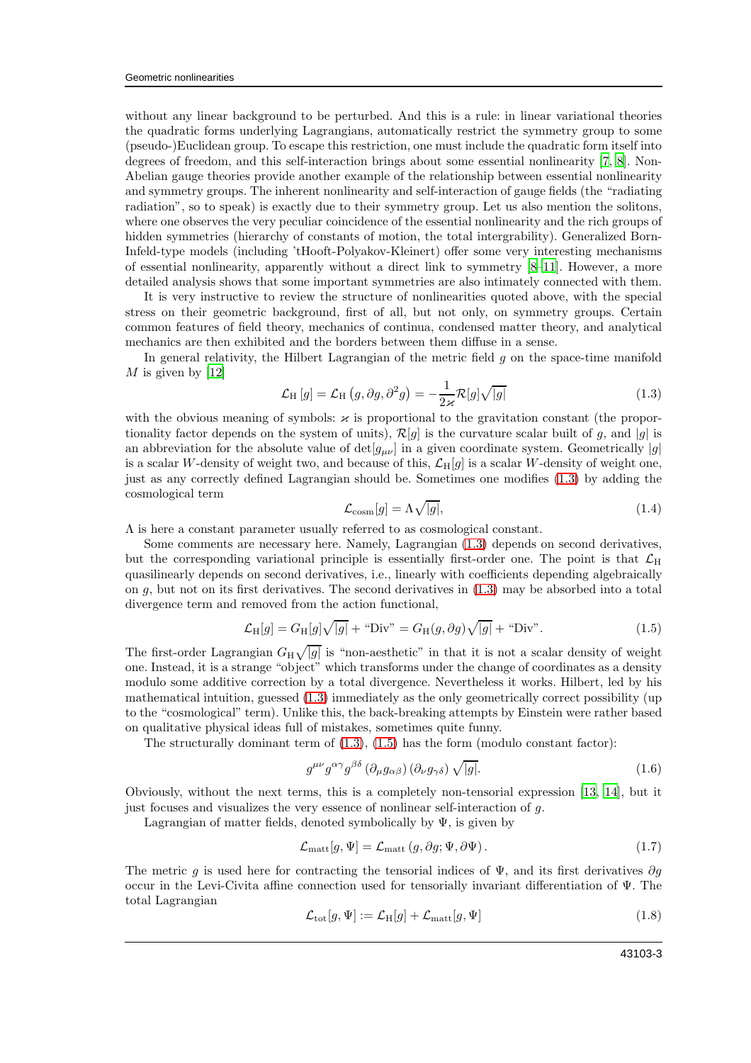without any linear background to be perturbed. And this is a rule: in linear variational theories the quadratic forms underlying Lagrangians, automatically restrict the symmetry group to some (pseudo-)Euclidean group. To escape this restriction, one must include the quadratic form itself into degrees of freedom, and this self-interaction brings about some essential nonlinearity [\[7,](#page-16-3) [8\]](#page-16-2). Non-Abelian gauge theories provide another example of the relationship between essential nonlinearity and symmetry groups. The inherent nonlinearity and self-interaction of gauge fields (the "radiating radiation", so to speak) is exactly due to their symmetry group. Let us also mention the solitons, where one observes the very peculiar coincidence of the essential nonlinearity and the rich groups of hidden symmetries (hierarchy of constants of motion, the total intergrability). Generalized Born-Infeld-type models (including 'tHooft-Polyakov-Kleinert) offer some very interesting mechanisms of essential nonlinearity, apparently without a direct link to symmetry [\[8](#page-16-2)[–11](#page-16-4)]. However, a more detailed analysis shows that some important symmetries are also intimately connected with them.

It is very instructive to review the structure of nonlinearities quoted above, with the special stress on their geometric background, first of all, but not only, on symmetry groups. Certain common features of field theory, mechanics of continua, condensed matter theory, and analytical mechanics are then exhibited and the borders between them diffuse in a sense.

In general relativity, the Hilbert Lagrangian of the metric field  $q$  on the space-time manifold  $M$  is given by [\[12\]](#page-16-5)

<span id="page-2-0"></span>
$$
\mathcal{L}_{\mathrm{H}}\left[g\right] = \mathcal{L}_{\mathrm{H}}\left(g,\partial g,\partial^2 g\right) = -\frac{1}{2\varkappa} \mathcal{R}[g]\sqrt{|g|} \tag{1.3}
$$

with the obvious meaning of symbols:  $\varkappa$  is proportional to the gravitation constant (the proportionality factor depends on the system of units),  $\mathcal{R}[g]$  is the curvature scalar built of g, and  $|g|$  is an abbreviation for the absolute value of  $\det[g_{\mu\nu}]$  in a given coordinate system. Geometrically |g| is a scalar W-density of weight two, and because of this,  $\mathcal{L}_{H}[q]$  is a scalar W-density of weight one, just as any correctly defined Lagrangian should be. Sometimes one modifies [\(1.3\)](#page-2-0) by adding the cosmological term

$$
\mathcal{L}_{\text{cosm}}[g] = \Lambda \sqrt{|g|},\tag{1.4}
$$

 $\Lambda$  is here a constant parameter usually referred to as cosmological constant.

Some comments are necessary here. Namely, Lagrangian [\(1.3\)](#page-2-0) depends on second derivatives, but the corresponding variational principle is essentially first-order one. The point is that  $\mathcal{L}_{H}$ quasilinearly depends on second derivatives, i.e., linearly with coefficients depending algebraically on  $g$ , but not on its first derivatives. The second derivatives in  $(1.3)$  may be absorbed into a total divergence term and removed from the action functional,

<span id="page-2-1"></span>
$$
\mathcal{L}_{\mathrm{H}}[g] = G_{\mathrm{H}}[g]\sqrt{|g|} + \text{``Div''} = G_{\mathrm{H}}(g, \partial g)\sqrt{|g|} + \text{``Div''}.
$$
\n(1.5)

The first-order Lagrangian  $G_H \sqrt{|g|}$  is "non-aesthetic" in that it is not a scalar density of weight one. Instead, it is a strange "object" which transforms under the change of coordinates as a density modulo some additive correction by a total divergence. Nevertheless it works. Hilbert, led by his mathematical intuition, guessed [\(1.3\)](#page-2-0) immediately as the only geometrically correct possibility (up to the "cosmological" term). Unlike this, the back-breaking attempts by Einstein were rather based on qualitative physical ideas full of mistakes, sometimes quite funny.

The structurally dominant term of  $(1.3)$ ,  $(1.5)$  has the form (modulo constant factor):

<span id="page-2-2"></span>
$$
g^{\mu\nu}g^{\alpha\gamma}g^{\beta\delta}\left(\partial_{\mu}g_{\alpha\beta}\right)\left(\partial_{\nu}g_{\gamma\delta}\right)\sqrt{|g|}.\tag{1.6}
$$

Obviously, without the next terms, this is a completely non-tensorial expression [\[13](#page-16-6), [14](#page-16-7)], but it just focuses and visualizes the very essence of nonlinear self-interaction of g.

Lagrangian of matter fields, denoted symbolically by  $\Psi$ , is given by

<span id="page-2-3"></span>
$$
\mathcal{L}_{\text{matt}}[g, \Psi] = \mathcal{L}_{\text{matt}}(g, \partial g; \Psi, \partial \Psi). \tag{1.7}
$$

The metric g is used here for contracting the tensorial indices of  $\Psi$ , and its first derivatives  $\partial g$ occur in the Levi-Civita affine connection used for tensorially invariant differentiation of Ψ. The total Lagrangian

<span id="page-2-4"></span>
$$
\mathcal{L}_{\text{tot}}[g, \Psi] := \mathcal{L}_{\text{H}}[g] + \mathcal{L}_{\text{matt}}[g, \Psi]
$$
\n(1.8)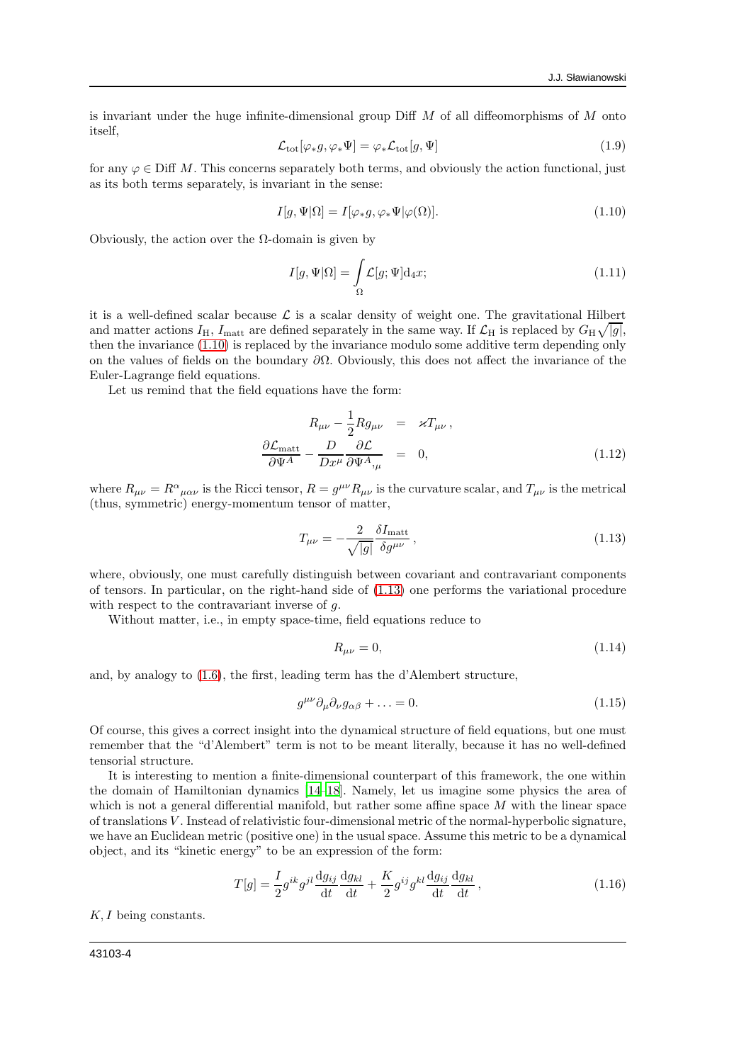is invariant under the huge infinite-dimensional group Diff  $M$  of all diffeomorphisms of  $M$  onto itself,

$$
\mathcal{L}_{\text{tot}}[\varphi_* g, \varphi_* \Psi] = \varphi_* \mathcal{L}_{\text{tot}}[g, \Psi] \tag{1.9}
$$

for any  $\varphi \in \text{Diff }M$ . This concerns separately both terms, and obviously the action functional, just as its both terms separately, is invariant in the sense:

<span id="page-3-0"></span>
$$
I[g,\Psi|\Omega] = I[\varphi_*g, \varphi_*\Psi|\varphi(\Omega)].
$$
\n(1.10)

Obviously, the action over the  $\Omega$ -domain is given by

<span id="page-3-3"></span>
$$
I[g,\Psi|\Omega] = \int_{\Omega} \mathcal{L}[g;\Psi] \mathrm{d}_4 x; \tag{1.11}
$$

it is a well-defined scalar because  $\mathcal L$  is a scalar density of weight one. The gravitational Hilbert and matter actions  $I_H$ ,  $I_{\text{matt}}$  are defined separately in the same way. If  $\mathcal{L}_H$  is replaced by  $G_H \sqrt{|g|}$ , then the invariance [\(1.10\)](#page-3-0) is replaced by the invariance modulo some additive term depending only on the values of fields on the boundary  $\partial\Omega$ . Obviously, this does not affect the invariance of the Euler-Lagrange field equations.

Let us remind that the field equations have the form:

$$
R_{\mu\nu} - \frac{1}{2} R g_{\mu\nu} = \varkappa T_{\mu\nu},
$$
  

$$
\frac{\partial \mathcal{L}_{\text{matt}}}{\partial \Psi^A} - \frac{D}{D x^{\mu}} \frac{\partial \mathcal{L}}{\partial \Psi^A,_{\mu}} = 0,
$$
 (1.12)

where  $R_{\mu\nu} = R^{\alpha}{}_{\mu\alpha\nu}$  is the Ricci tensor,  $R = g^{\mu\nu}R_{\mu\nu}$  is the curvature scalar, and  $T_{\mu\nu}$  is the metrical (thus, symmetric) energy-momentum tensor of matter,

<span id="page-3-1"></span>
$$
T_{\mu\nu} = -\frac{2}{\sqrt{|g|}} \frac{\delta I_{\text{matt}}}{\delta g^{\mu\nu}},\tag{1.13}
$$

where, obviously, one must carefully distinguish between covariant and contravariant components of tensors. In particular, on the right-hand side of [\(1.13\)](#page-3-1) one performs the variational procedure with respect to the contravariant inverse of g.

Without matter, i.e., in empty space-time, field equations reduce to

$$
R_{\mu\nu} = 0,\t\t(1.14)
$$

and, by analogy to [\(1.6\)](#page-2-2), the first, leading term has the d'Alembert structure,

$$
g^{\mu\nu}\partial_{\mu}\partial_{\nu}g_{\alpha\beta} + \ldots = 0. \tag{1.15}
$$

Of course, this gives a correct insight into the dynamical structure of field equations, but one must remember that the "d'Alembert" term is not to be meant literally, because it has no well-defined tensorial structure.

It is interesting to mention a finite-dimensional counterpart of this framework, the one within the domain of Hamiltonian dynamics [\[14](#page-16-7)[–18](#page-16-8)]. Namely, let us imagine some physics the area of which is not a general differential manifold, but rather some affine space  $M$  with the linear space of translations V . Instead of relativistic four-dimensional metric of the normal-hyperbolic signature, we have an Euclidean metric (positive one) in the usual space. Assume this metric to be a dynamical object, and its "kinetic energy" to be an expression of the form:

<span id="page-3-2"></span>
$$
T[g] = \frac{I}{2}g^{ik}g^{jl}\frac{\mathrm{d}g_{ij}}{\mathrm{d}t}\frac{\mathrm{d}g_{kl}}{\mathrm{d}t} + \frac{K}{2}g^{ij}g^{kl}\frac{\mathrm{d}g_{ij}}{\mathrm{d}t}\frac{\mathrm{d}g_{kl}}{\mathrm{d}t},\qquad(1.16)
$$

 $K, I$  being constants.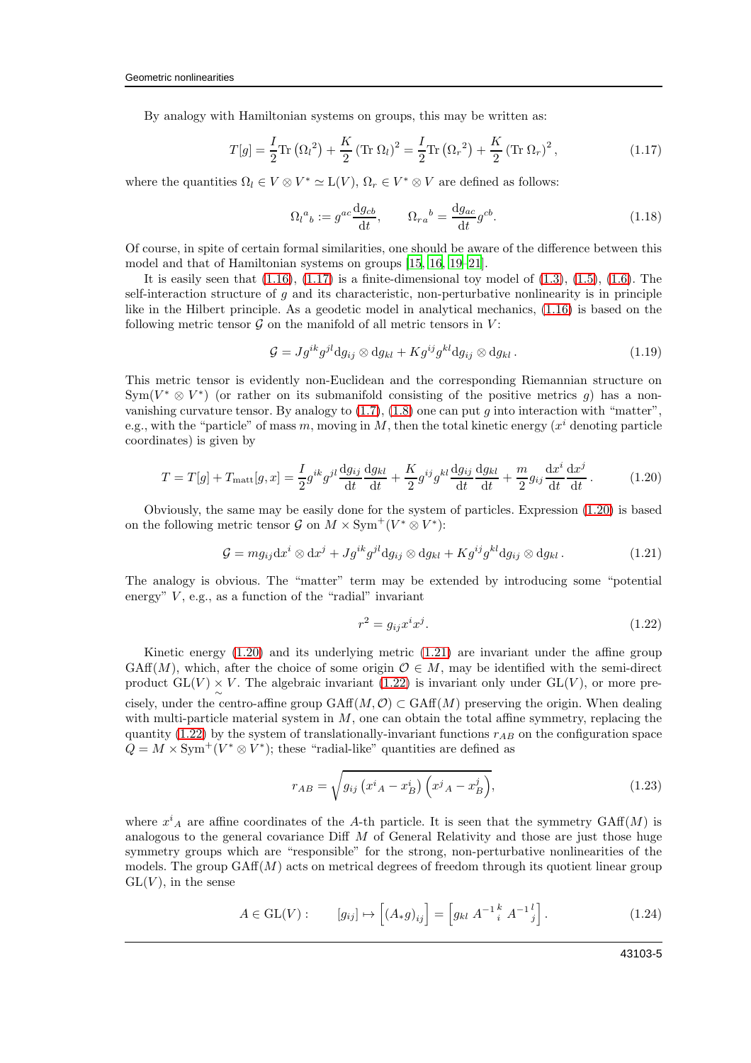By analogy with Hamiltonian systems on groups, this may be written as:

<span id="page-4-0"></span>
$$
T[g] = \frac{I}{2} \text{Tr} (\Omega_l^2) + \frac{K}{2} (\text{Tr} \Omega_l)^2 = \frac{I}{2} \text{Tr} (\Omega_r^2) + \frac{K}{2} (\text{Tr} \Omega_r)^2, \qquad (1.17)
$$

where the quantities  $\Omega_l \in V \otimes V^* \simeq L(V)$ ,  $\Omega_r \in V^* \otimes V$  are defined as follows:

<span id="page-4-5"></span>
$$
\Omega_l{}^a{}_b := g^{ac} \frac{\mathrm{d}g_{cb}}{\mathrm{d}t}, \qquad \Omega_{ra}{}^b = \frac{\mathrm{d}g_{ac}}{\mathrm{d}t} g^{cb}.
$$
\n(1.18)

Of course, in spite of certain formal similarities, one should be aware of the difference between this model and that of Hamiltonian systems on groups [\[15](#page-16-9), [16](#page-16-10), [19](#page-16-11)[–21](#page-16-12)].

It is easily seen that  $(1.16)$ ,  $(1.17)$  is a finite-dimensional toy model of  $(1.3)$ ,  $(1.5)$ ,  $(1.6)$ . The self-interaction structure of  $g$  and its characteristic, non-perturbative nonlinearity is in principle like in the Hilbert principle. As a geodetic model in analytical mechanics, [\(1.16\)](#page-3-2) is based on the following metric tensor  $\mathcal G$  on the manifold of all metric tensors in  $V$ :

<span id="page-4-4"></span>
$$
\mathcal{G} = J g^{ik} g^{jl} \mathrm{d} g_{ij} \otimes \mathrm{d} g_{kl} + K g^{ij} g^{kl} \mathrm{d} g_{ij} \otimes \mathrm{d} g_{kl} . \tag{1.19}
$$

This metric tensor is evidently non-Euclidean and the corresponding Riemannian structure on Sym( $V^* \otimes V^*$ ) (or rather on its submanifold consisting of the positive metrics g) has a nonvanishing curvature tensor. By analogy to  $(1.7)$ ,  $(1.8)$  one can put q into interaction with "matter", e.g., with the "particle" of mass m, moving in M, then the total kinetic energy  $(x^{i}$  denoting particle coordinates) is given by

<span id="page-4-1"></span>
$$
T = T[g] + T_{\text{matt}}[g, x] = \frac{I}{2} g^{ik} g^{jl} \frac{\mathrm{d}g_{ij}}{\mathrm{d}t} \frac{\mathrm{d}g_{kl}}{\mathrm{d}t} + \frac{K}{2} g^{ij} g^{kl} \frac{\mathrm{d}g_{ij}}{\mathrm{d}t} \frac{\mathrm{d}g_{kl}}{\mathrm{d}t} + \frac{m}{2} g_{ij} \frac{\mathrm{d}x^i}{\mathrm{d}t} \frac{\mathrm{d}x^j}{\mathrm{d}t}.
$$
 (1.20)

Obviously, the same may be easily done for the system of particles. Expression [\(1.20\)](#page-4-1) is based on the following metric tensor  $\mathcal{G}$  on  $M \times \text{Sym}^+(V^* \otimes V^*)$ :

<span id="page-4-2"></span>
$$
\mathcal{G} = m g_{ij} \mathrm{d} x^i \otimes \mathrm{d} x^j + J g^{ik} g^{jl} \mathrm{d} g_{ij} \otimes \mathrm{d} g_{kl} + K g^{ij} g^{kl} \mathrm{d} g_{ij} \otimes \mathrm{d} g_{kl} \,.
$$
 (1.21)

The analogy is obvious. The "matter" term may be extended by introducing some "potential energy"  $V$ , e.g., as a function of the "radial" invariant

<span id="page-4-3"></span>
$$
r^2 = g_{ij}x^ix^j. \tag{1.22}
$$

Kinetic energy [\(1.20\)](#page-4-1) and its underlying metric [\(1.21\)](#page-4-2) are invariant under the affine group GAff $(M)$ , which, after the choice of some origin  $\mathcal{O} \in M$ , may be identified with the semi-direct product  $GL(V) \times V$ . The algebraic invariant [\(1.22\)](#page-4-3) is invariant only under  $GL(V)$ , or more precisely, under the centro-affine group  $GAff(M, \mathcal{O}) \subset GAff(M)$  preserving the origin. When dealing with multi-particle material system in  $M$ , one can obtain the total affine symmetry, replacing the quantity [\(1.22\)](#page-4-3) by the system of translationally-invariant functions  $r_{AB}$  on the configuration space  $Q = M \times \text{Sym}^+(V^* \otimes V^*)$ ; these "radial-like" quantities are defined as

$$
r_{AB} = \sqrt{g_{ij} \left(x^i{}_A - x^i{}_B\right) \left(x^j{}_A - x^j{}_B\right)},\tag{1.23}
$$

where  $x^i_A$  are affine coordinates of the A-th particle. It is seen that the symmetry GAff(M) is analogous to the general covariance Diff  $M$  of General Relativity and those are just those huge symmetry groups which are "responsible" for the strong, non-perturbative nonlinearities of the models. The group  $GAff(M)$  acts on metrical degrees of freedom through its quotient linear group  $GL(V)$ , in the sense

$$
A \in GL(V): \qquad [g_{ij}] \mapsto \left[ (A_*g)_{ij} \right] = \left[ g_{kl} \ A^{-1} \iota^k A^{-1} \iota^l \right]. \tag{1.24}
$$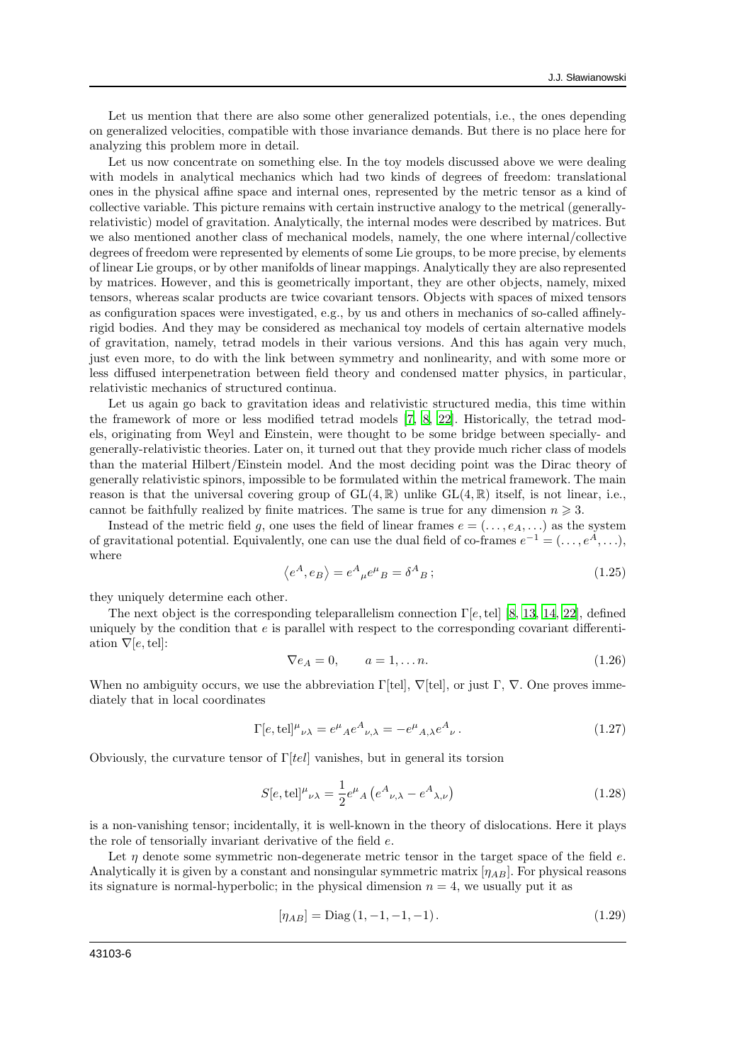Let us mention that there are also some other generalized potentials, i.e., the ones depending on generalized velocities, compatible with those invariance demands. But there is no place here for analyzing this problem more in detail.

Let us now concentrate on something else. In the toy models discussed above we were dealing with models in analytical mechanics which had two kinds of degrees of freedom: translational ones in the physical affine space and internal ones, represented by the metric tensor as a kind of collective variable. This picture remains with certain instructive analogy to the metrical (generallyrelativistic) model of gravitation. Analytically, the internal modes were described by matrices. But we also mentioned another class of mechanical models, namely, the one where internal/collective degrees of freedom were represented by elements of some Lie groups, to be more precise, by elements of linear Lie groups, or by other manifolds of linear mappings. Analytically they are also represented by matrices. However, and this is geometrically important, they are other objects, namely, mixed tensors, whereas scalar products are twice covariant tensors. Objects with spaces of mixed tensors as configuration spaces were investigated, e.g., by us and others in mechanics of so-called affinelyrigid bodies. And they may be considered as mechanical toy models of certain alternative models of gravitation, namely, tetrad models in their various versions. And this has again very much, just even more, to do with the link between symmetry and nonlinearity, and with some more or less diffused interpenetration between field theory and condensed matter physics, in particular, relativistic mechanics of structured continua.

Let us again go back to gravitation ideas and relativistic structured media, this time within the framework of more or less modified tetrad models [\[7,](#page-16-3) [8,](#page-16-2) [22](#page-16-13)]. Historically, the tetrad models, originating from Weyl and Einstein, were thought to be some bridge between specially- and generally-relativistic theories. Later on, it turned out that they provide much richer class of models than the material Hilbert/Einstein model. And the most deciding point was the Dirac theory of generally relativistic spinors, impossible to be formulated within the metrical framework. The main reason is that the universal covering group of  $GL(4,\mathbb{R})$  unlike  $GL(4,\mathbb{R})$  itself, is not linear, i.e., cannot be faithfully realized by finite matrices. The same is true for any dimension  $n \geq 3$ .

Instead of the metric field g, one uses the field of linear frames  $e = (..., e<sub>A</sub>,...)$  as the system of gravitational potential. Equivalently, one can use the dual field of co-frames  $e^{-1} = (\ldots, e^A, \ldots),$ where

$$
\langle e^A, e_B \rangle = e^A{}_{\mu} e^{\mu}{}_{B} = \delta^A{}_{B};\tag{1.25}
$$

they uniquely determine each other.

The next object is the corresponding teleparallelism connection  $\Gamma[e, \text{tel}]$  [\[8](#page-16-2), [13](#page-16-6), [14](#page-16-7), [22](#page-16-13)], defined uniquely by the condition that  $e$  is parallel with respect to the corresponding covariant differentiation  $\nabla$ [e, tel]:

$$
\nabla e_A = 0, \qquad a = 1, \dots n. \tag{1.26}
$$

When no ambiguity occurs, we use the abbreviation  $\Gamma[\text{tel}], \nabla[\text{tel}],$  or just  $\Gamma, \nabla$ . One proves immediately that in local coordinates

$$
\Gamma[e, \text{tel}]^{\mu}{}_{\nu\lambda} = e^{\mu}{}_{A}e^{A}{}_{\nu,\lambda} = -e^{\mu}{}_{A,\lambda}e^{A}{}_{\nu}.
$$
 (1.27)

Obviously, the curvature tensor of  $\Gamma$ [tel] vanishes, but in general its torsion

$$
S[e, \text{tel}]^{\mu}{}_{\nu\lambda} = \frac{1}{2} e^{\mu}{}_{A} \left( e^{A}{}_{\nu,\lambda} - e^{A}{}_{\lambda,\nu} \right)
$$
 (1.28)

is a non-vanishing tensor; incidentally, it is well-known in the theory of dislocations. Here it plays the role of tensorially invariant derivative of the field e.

Let  $\eta$  denote some symmetric non-degenerate metric tensor in the target space of the field e. Analytically it is given by a constant and nonsingular symmetric matrix  $[\eta_{AB}]$ . For physical reasons its signature is normal-hyperbolic; in the physical dimension  $n = 4$ , we usually put it as

$$
[\eta_{AB}] = \text{Diag}\,(1, -1, -1, -1). \tag{1.29}
$$

43103-6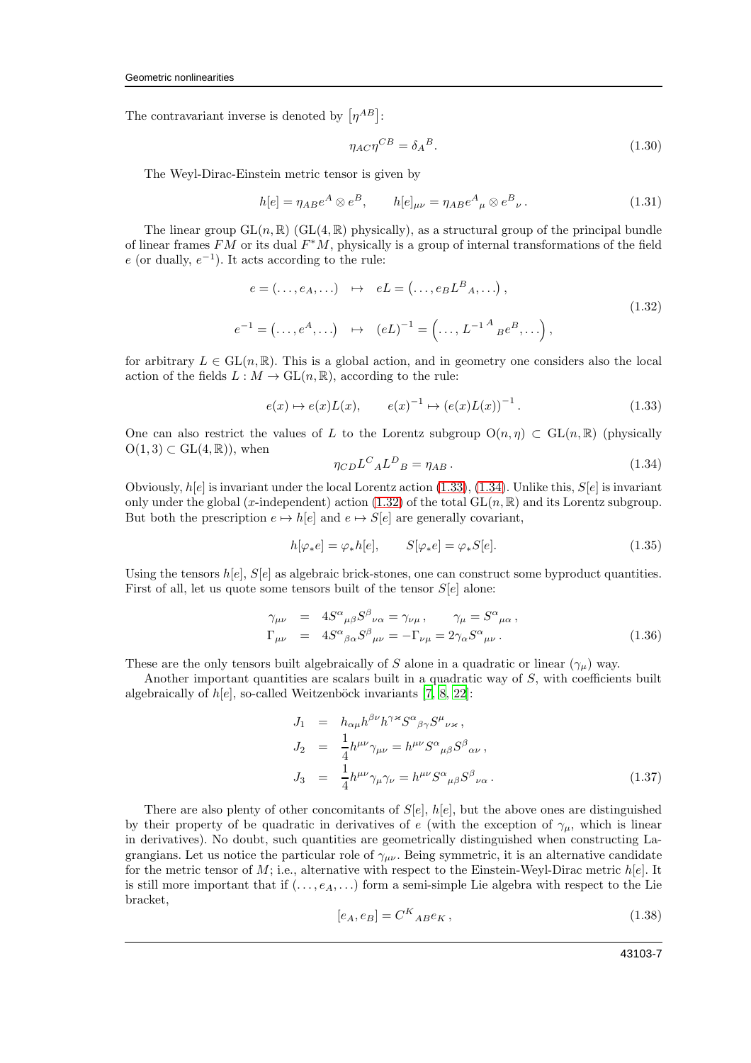The contravariant inverse is denoted by  $[\eta^{AB}]$ :

$$
\eta_{AC}\eta^{CB} = \delta_A{}^B. \tag{1.30}
$$

The Weyl-Dirac-Einstein metric tensor is given by

<span id="page-6-5"></span>
$$
h[e] = \eta_{AB}e^A \otimes e^B, \qquad h[e]_{\mu\nu} = \eta_{AB}e^A{}_{\mu} \otimes e^B{}_{\nu}.
$$
 (1.31)

The linear group  $GL(n, \mathbb{R})$  (GL(4,  $\mathbb{R}$ ) physically), as a structural group of the principal bundle of linear frames  $FM$  or its dual  $F^*M$ , physically is a group of internal transformations of the field  $e$  (or dually,  $e^{-1}$ ). It acts according to the rule:

<span id="page-6-2"></span>
$$
e = (\dots, e_A, \dots) \quad \mapsto \quad e = (\dots, e_B L^B{}_A, \dots),
$$
  
\n
$$
e^{-1} = (\dots, e^A, \dots) \quad \mapsto \quad (e)^{-1} = (\dots, L^{-1}{}^A{}_B e^B, \dots),
$$
\n(1.32)

for arbitrary  $L \in GL(n, \mathbb{R})$ . This is a global action, and in geometry one considers also the local action of the fields  $L : M \to GL(n, \mathbb{R})$ , according to the rule:

<span id="page-6-0"></span>
$$
e(x) \mapsto e(x)L(x), \qquad e(x)^{-1} \mapsto (e(x)L(x))^{-1}.
$$
 (1.33)

One can also restrict the values of L to the Lorentz subgroup  $O(n, \eta) \subset GL(n, \mathbb{R})$  (physically  $O(1, 3) \subset GL(4, \mathbb{R})$ , when

<span id="page-6-1"></span>
$$
\eta_{CD} L^C{}_A L^D{}_B = \eta_{AB} \,. \tag{1.34}
$$

Obviously,  $h[e]$  is invariant under the local Lorentz action [\(1.33\)](#page-6-0), [\(1.34\)](#page-6-1). Unlike this,  $S[e]$  is invariant only under the global (x-independent) action [\(1.32\)](#page-6-2) of the total  $GL(n, \mathbb{R})$  and its Lorentz subgroup. But both the prescription  $e \mapsto h[e]$  and  $e \mapsto S[e]$  are generally covariant,

$$
h[\varphi_*e] = \varphi_*h[e], \qquad S[\varphi_*e] = \varphi_*S[e]. \tag{1.35}
$$

Using the tensors  $h[e], S[e]$  as algebraic brick-stones, one can construct some byproduct quantities. First of all, let us quote some tensors built of the tensor  $S[e]$  alone:

<span id="page-6-3"></span>
$$
\gamma_{\mu\nu} = 4S^{\alpha}{}_{\mu\beta}S^{\beta}{}_{\nu\alpha} = \gamma_{\nu\mu}, \qquad \gamma_{\mu} = S^{\alpha}{}_{\mu\alpha}, \Gamma_{\mu\nu} = 4S^{\alpha}{}_{\beta\alpha}S^{\beta}{}_{\mu\nu} = -\Gamma_{\nu\mu} = 2\gamma_{\alpha}S^{\alpha}{}_{\mu\nu}.
$$
\n(1.36)

These are the only tensors built algebraically of S alone in a quadratic or linear  $(\gamma_\mu)$  way.

Another important quantities are scalars built in a quadratic way of S, with coefficients built algebraically of  $h[e]$ , so-called Weitzenböck invariants [\[7](#page-16-3), [8](#page-16-2), [22](#page-16-13)]:

<span id="page-6-4"></span>
$$
J_1 = h_{\alpha\mu}h^{\beta\nu}h^{\gamma\kappa}S^{\alpha}{}_{\beta\gamma}S^{\mu}{}_{\nu\kappa},
$$
  
\n
$$
J_2 = \frac{1}{4}h^{\mu\nu}\gamma_{\mu\nu} = h^{\mu\nu}S^{\alpha}{}_{\mu\beta}S^{\beta}{}_{\alpha\nu},
$$
  
\n
$$
J_3 = \frac{1}{4}h^{\mu\nu}\gamma_{\mu}\gamma_{\nu} = h^{\mu\nu}S^{\alpha}{}_{\mu\beta}S^{\beta}{}_{\nu\alpha}.
$$
\n(1.37)

There are also plenty of other concomitants of  $S[e]$ ,  $h[e]$ , but the above ones are distinguished by their property of be quadratic in derivatives of e (with the exception of  $\gamma_{\mu}$ , which is linear in derivatives). No doubt, such quantities are geometrically distinguished when constructing Lagrangians. Let us notice the particular role of  $\gamma_{\mu\nu}$ . Being symmetric, it is an alternative candidate for the metric tensor of  $M$ ; i.e., alternative with respect to the Einstein-Weyl-Dirac metric  $h[e]$ . It is still more important that if  $(..., e_A,...)$  form a semi-simple Lie algebra with respect to the Lie bracket,

$$
[e_A, e_B] = C^K_{AB} e_K, \qquad (1.38)
$$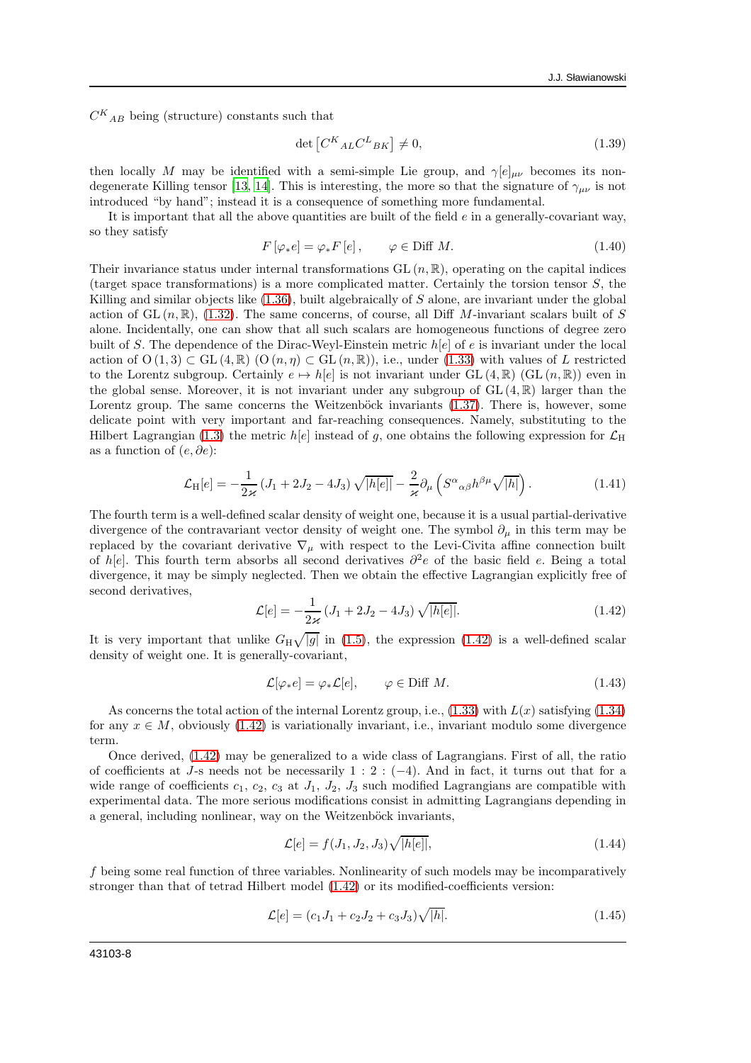$C^{K}{}_{AB}$  being (structure) constants such that

$$
\det\left[C^{K}{}_{AL}C^{L}{}_{BK}\right] \neq 0,\tag{1.39}
$$

then locally M may be identified with a semi-simple Lie group, and  $\gamma[e]_{\mu\nu}$  becomes its non-degenerate Killing tensor [\[13](#page-16-6), [14](#page-16-7)]. This is interesting, the more so that the signature of  $\gamma_{\mu\nu}$  is not introduced "by hand"; instead it is a consequence of something more fundamental.

It is important that all the above quantities are built of the field  $e$  in a generally-covariant way, so they satisfy

$$
F\left[\varphi_*e\right] = \varphi_*F\left[e\right], \qquad \varphi \in \text{Diff } M. \tag{1.40}
$$

Their invariance status under internal transformations  $GL(n,\mathbb{R})$ , operating on the capital indices (target space transformations) is a more complicated matter. Certainly the torsion tensor S, the Killing and similar objects like  $(1.36)$ , built algebraically of S alone, are invariant under the global action of GL  $(n, \mathbb{R})$ , [\(1.32\)](#page-6-2). The same concerns, of course, all Diff M-invariant scalars built of S alone. Incidentally, one can show that all such scalars are homogeneous functions of degree zero built of S. The dependence of the Dirac-Weyl-Einstein metric  $h[e]$  of e is invariant under the local action of  $O(1,3) \subset GL(4,\mathbb{R})$   $(O(n,\eta) \subset GL(n,\mathbb{R}))$ , i.e., under [\(1.33\)](#page-6-0) with values of L restricted to the Lorentz subgroup. Certainly  $e \mapsto h[e]$  is not invariant under GL  $(4,\mathbb{R})$  (GL  $(n,\mathbb{R})$ ) even in the global sense. Moreover, it is not invariant under any subgroup of  $GL(4,\mathbb{R})$  larger than the Lorentz group. The same concerns the Weitzenböck invariants [\(1.37\)](#page-6-4). There is, however, some delicate point with very important and far-reaching consequences. Namely, substituting to the Hilbert Lagrangian [\(1.3\)](#page-2-0) the metric  $h[e]$  instead of g, one obtains the following expression for  $\mathcal{L}_{\rm H}$ as a function of  $(e, \partial e)$ :

$$
\mathcal{L}_{\mathrm{H}}[e] = -\frac{1}{2\varkappa} \left( J_1 + 2J_2 - 4J_3 \right) \sqrt{|h[e]|} - \frac{2}{\varkappa} \partial_\mu \left( S^\alpha{}_{\alpha\beta} h^{\beta\mu} \sqrt{|h|} \right). \tag{1.41}
$$

The fourth term is a well-defined scalar density of weight one, because it is a usual partial-derivative divergence of the contravariant vector density of weight one. The symbol  $\partial_{\mu}$  in this term may be replaced by the covariant derivative  $\nabla_{\mu}$  with respect to the Levi-Civita affine connection built of h[e]. This fourth term absorbs all second derivatives  $\partial^2 e$  of the basic field e. Being a total divergence, it may be simply neglected. Then we obtain the effective Lagrangian explicitly free of second derivatives,

<span id="page-7-0"></span>
$$
\mathcal{L}[e] = -\frac{1}{2\kappa} \left( J_1 + 2J_2 - 4J_3 \right) \sqrt{|h[e]|}. \tag{1.42}
$$

It is very important that unlike  $G_H \sqrt{|g|}$  in [\(1.5\)](#page-2-1), the expression [\(1.42\)](#page-7-0) is a well-defined scalar density of weight one. It is generally-covariant,

$$
\mathcal{L}[\varphi_* e] = \varphi_* \mathcal{L}[e], \qquad \varphi \in \text{Diff } M. \tag{1.43}
$$

As concerns the total action of the internal Lorentz group, i.e.,  $(1.33)$  with  $L(x)$  satisfying  $(1.34)$ for any  $x \in M$ , obviously [\(1.42\)](#page-7-0) is variationally invariant, i.e., invariant modulo some divergence term.

Once derived, [\(1.42\)](#page-7-0) may be generalized to a wide class of Lagrangians. First of all, the ratio of coefficients at J-s needs not be necessarily 1 : 2 : (−4). And in fact, it turns out that for a wide range of coefficients  $c_1$ ,  $c_2$ ,  $c_3$  at  $J_1$ ,  $J_2$ ,  $J_3$  such modified Lagrangians are compatible with experimental data. The more serious modifications consist in admitting Lagrangians depending in a general, including nonlinear, way on the Weitzenböck invariants,

<span id="page-7-1"></span>
$$
\mathcal{L}[e] = f(J_1, J_2, J_3) \sqrt{|h[e]|},\tag{1.44}
$$

f being some real function of three variables. Nonlinearity of such models may be incomparatively stronger than that of tetrad Hilbert model [\(1.42\)](#page-7-0) or its modified-coefficients version:

<span id="page-7-2"></span>
$$
\mathcal{L}[e] = (c_1 J_1 + c_2 J_2 + c_3 J_3) \sqrt{|h|}. \tag{1.45}
$$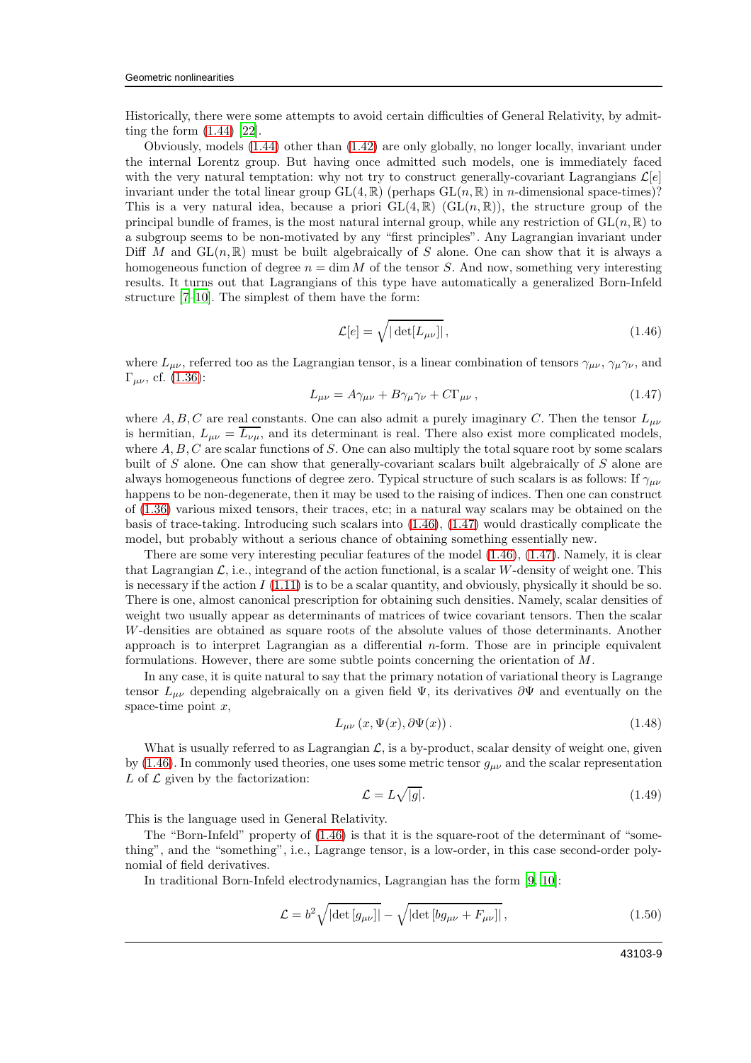Historically, there were some attempts to avoid certain difficulties of General Relativity, by admitting the form [\(1.44\)](#page-7-1) [\[22\]](#page-16-13).

Obviously, models [\(1.44\)](#page-7-1) other than [\(1.42\)](#page-7-0) are only globally, no longer locally, invariant under the internal Lorentz group. But having once admitted such models, one is immediately faced with the very natural temptation: why not try to construct generally-covariant Lagrangians  $\mathcal{L}[e]$ invariant under the total linear group  $GL(4,\mathbb{R})$  (perhaps  $GL(n,\mathbb{R})$  in *n*-dimensional space-times)? This is a very natural idea, because a priori  $GL(4,\mathbb{R})$   $(GL(n,\mathbb{R}))$ , the structure group of the principal bundle of frames, is the most natural internal group, while any restriction of  $GL(n,\mathbb{R})$  to a subgroup seems to be non-motivated by any "first principles". Any Lagrangian invariant under Diff M and  $GL(n,\mathbb{R})$  must be built algebraically of S alone. One can show that it is always a homogeneous function of degree  $n = \dim M$  of the tensor S. And now, something very interesting results. It turns out that Lagrangians of this type have automatically a generalized Born-Infeld structure [\[7](#page-16-3)[–10\]](#page-16-14). The simplest of them have the form:

<span id="page-8-0"></span>
$$
\mathcal{L}[e] = \sqrt{|\det[L_{\mu\nu}]|},\tag{1.46}
$$

where  $L_{\mu\nu}$ , referred too as the Lagrangian tensor, is a linear combination of tensors  $\gamma_{\mu\nu}$ ,  $\gamma_{\mu}\gamma_{\nu}$ , and  $Γ_{μν}$ , cf. [\(1.36\)](#page-6-3):

<span id="page-8-1"></span>
$$
L_{\mu\nu} = A\gamma_{\mu\nu} + B\gamma_{\mu}\gamma_{\nu} + C\Gamma_{\mu\nu}, \qquad (1.47)
$$

where A, B, C are real constants. One can also admit a purely imaginary C. Then the tensor  $L_{\mu\nu}$ is hermitian,  $L_{\mu\nu} = \overline{L_{\nu\mu}}$ , and its determinant is real. There also exist more complicated models, where  $A, B, C$  are scalar functions of S. One can also multiply the total square root by some scalars built of S alone. One can show that generally-covariant scalars built algebraically of S alone are always homogeneous functions of degree zero. Typical structure of such scalars is as follows: If  $\gamma_{\mu\nu}$ happens to be non-degenerate, then it may be used to the raising of indices. Then one can construct of [\(1.36\)](#page-6-3) various mixed tensors, their traces, etc; in a natural way scalars may be obtained on the basis of trace-taking. Introducing such scalars into [\(1.46\)](#page-8-0), [\(1.47\)](#page-8-1) would drastically complicate the model, but probably without a serious chance of obtaining something essentially new.

There are some very interesting peculiar features of the model [\(1.46\)](#page-8-0), [\(1.47\)](#page-8-1). Namely, it is clear that Lagrangian  $\mathcal{L}$ , i.e., integrand of the action functional, is a scalar W-density of weight one. This is necessary if the action  $I(1.11)$  $I(1.11)$  is to be a scalar quantity, and obviously, physically it should be so. There is one, almost canonical prescription for obtaining such densities. Namely, scalar densities of weight two usually appear as determinants of matrices of twice covariant tensors. Then the scalar W-densities are obtained as square roots of the absolute values of those determinants. Another approach is to interpret Lagrangian as a differential  $n$ -form. Those are in principle equivalent formulations. However, there are some subtle points concerning the orientation of M.

In any case, it is quite natural to say that the primary notation of variational theory is Lagrange tensor  $L_{\mu\nu}$  depending algebraically on a given field  $\Psi$ , its derivatives  $\partial \Psi$  and eventually on the space-time point  $x$ ,

$$
L_{\mu\nu}(x,\Psi(x),\partial\Psi(x)).\tag{1.48}
$$

What is usually referred to as Lagrangian  $\mathcal{L}$ , is a by-product, scalar density of weight one, given by [\(1.46\)](#page-8-0). In commonly used theories, one uses some metric tensor  $g_{\mu\nu}$  and the scalar representation L of  $\mathcal L$  given by the factorization:

$$
\mathcal{L} = L\sqrt{|g|}. \tag{1.49}
$$

This is the language used in General Relativity.

The "Born-Infeld" property of [\(1.46\)](#page-8-0) is that it is the square-root of the determinant of "something", and the "something", i.e., Lagrange tensor, is a low-order, in this case second-order polynomial of field derivatives.

In traditional Born-Infeld electrodynamics, Lagrangian has the form [\[9](#page-16-15), [10](#page-16-14)]:

<span id="page-8-2"></span>
$$
\mathcal{L} = b^2 \sqrt{|\det[g_{\mu\nu}]|} - \sqrt{|\det[bg_{\mu\nu} + F_{\mu\nu}]|},
$$
\n(1.50)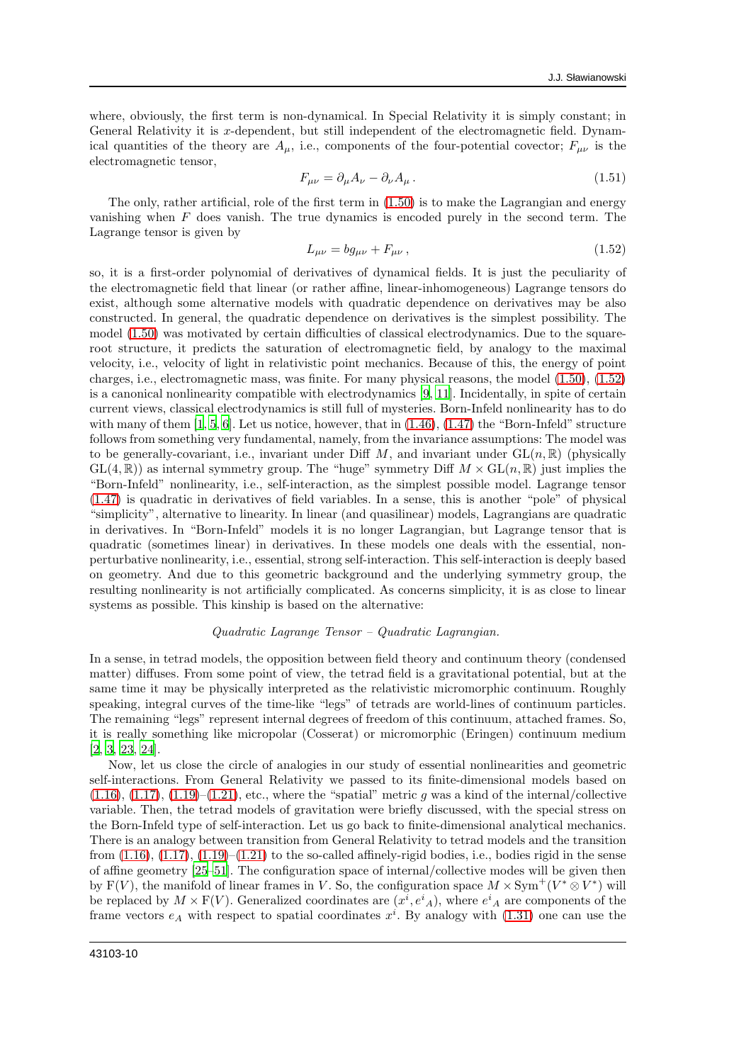where, obviously, the first term is non-dynamical. In Special Relativity it is simply constant; in General Relativity it is x-dependent, but still independent of the electromagnetic field. Dynamical quantities of the theory are  $A_\mu$ , i.e., components of the four-potential covector;  $F_{\mu\nu}$  is the electromagnetic tensor,

$$
F_{\mu\nu} = \partial_{\mu}A_{\nu} - \partial_{\nu}A_{\mu}.
$$
\n(1.51)

The only, rather artificial, role of the first term in [\(1.50\)](#page-8-2) is to make the Lagrangian and energy vanishing when  $F$  does vanish. The true dynamics is encoded purely in the second term. The Lagrange tensor is given by

<span id="page-9-0"></span>
$$
L_{\mu\nu} = bg_{\mu\nu} + F_{\mu\nu} \,, \tag{1.52}
$$

so, it is a first-order polynomial of derivatives of dynamical fields. It is just the peculiarity of the electromagnetic field that linear (or rather affine, linear-inhomogeneous) Lagrange tensors do exist, although some alternative models with quadratic dependence on derivatives may be also constructed. In general, the quadratic dependence on derivatives is the simplest possibility. The model [\(1.50\)](#page-8-2) was motivated by certain difficulties of classical electrodynamics. Due to the squareroot structure, it predicts the saturation of electromagnetic field, by analogy to the maximal velocity, i.e., velocity of light in relativistic point mechanics. Because of this, the energy of point charges, i.e., electromagnetic mass, was finite. For many physical reasons, the model [\(1.50\)](#page-8-2), [\(1.52\)](#page-9-0) is a canonical nonlinearity compatible with electrodynamics [\[9](#page-16-15), [11\]](#page-16-4). Incidentally, in spite of certain current views, classical electrodynamics is still full of mysteries. Born-Infeld nonlinearity has to do with many of them  $[1, 5, 6]$  $[1, 5, 6]$  $[1, 5, 6]$  $[1, 5, 6]$  $[1, 5, 6]$ . Let us notice, however, that in  $(1.46)$ ,  $(1.47)$  the "Born-Infeld" structure follows from something very fundamental, namely, from the invariance assumptions: The model was to be generally-covariant, i.e., invariant under Diff  $M$ , and invariant under  $GL(n,\mathbb{R})$  (physically  $GL(4,\mathbb{R})$  as internal symmetry group. The "huge" symmetry Diff  $M \times GL(n,\mathbb{R})$  just implies the "Born-Infeld" nonlinearity, i.e., self-interaction, as the simplest possible model. Lagrange tensor [\(1.47\)](#page-8-1) is quadratic in derivatives of field variables. In a sense, this is another "pole" of physical "simplicity", alternative to linearity. In linear (and quasilinear) models, Lagrangians are quadratic in derivatives. In "Born-Infeld" models it is no longer Lagrangian, but Lagrange tensor that is quadratic (sometimes linear) in derivatives. In these models one deals with the essential, nonperturbative nonlinearity, i.e., essential, strong self-interaction. This self-interaction is deeply based on geometry. And due to this geometric background and the underlying symmetry group, the resulting nonlinearity is not artificially complicated. As concerns simplicity, it is as close to linear systems as possible. This kinship is based on the alternative:

#### Quadratic Lagrange Tensor – Quadratic Lagrangian.

In a sense, in tetrad models, the opposition between field theory and continuum theory (condensed matter) diffuses. From some point of view, the tetrad field is a gravitational potential, but at the same time it may be physically interpreted as the relativistic micromorphic continuum. Roughly speaking, integral curves of the time-like "legs" of tetrads are world-lines of continuum particles. The remaining "legs" represent internal degrees of freedom of this continuum, attached frames. So, it is really something like micropolar (Cosserat) or micromorphic (Eringen) continuum medium [\[2,](#page-16-18) [3,](#page-16-19) [23,](#page-16-20) [24\]](#page-16-21).

Now, let us close the circle of analogies in our study of essential nonlinearities and geometric self-interactions. From General Relativity we passed to its finite-dimensional models based on  $(1.16)$ ,  $(1.17)$ ,  $(1.19)$ – $(1.21)$ , etc., where the "spatial" metric g was a kind of the internal/collective variable. Then, the tetrad models of gravitation were briefly discussed, with the special stress on the Born-Infeld type of self-interaction. Let us go back to finite-dimensional analytical mechanics. There is an analogy between transition from General Relativity to tetrad models and the transition from  $(1.16)$ ,  $(1.17)$ ,  $(1.19)$ – $(1.21)$  to the so-called affinely-rigid bodies, i.e., bodies rigid in the sense of affine geometry [\[25](#page-16-22)[–51\]](#page-17-0). The configuration space of internal/collective modes will be given then by F(V), the manifold of linear frames in V. So, the configuration space  $M \times Sym$ <sup>+</sup> ( $V^* \otimes V^*$ ) will be replaced by  $M \times \mathcal{F}(V)$ . Generalized coordinates are  $(x^i, e^i_A)$ , where  $e^i_A$  are components of the frame vectors  $e_A$  with respect to spatial coordinates  $x^i$ . By analogy with  $(1.31)$  one can use the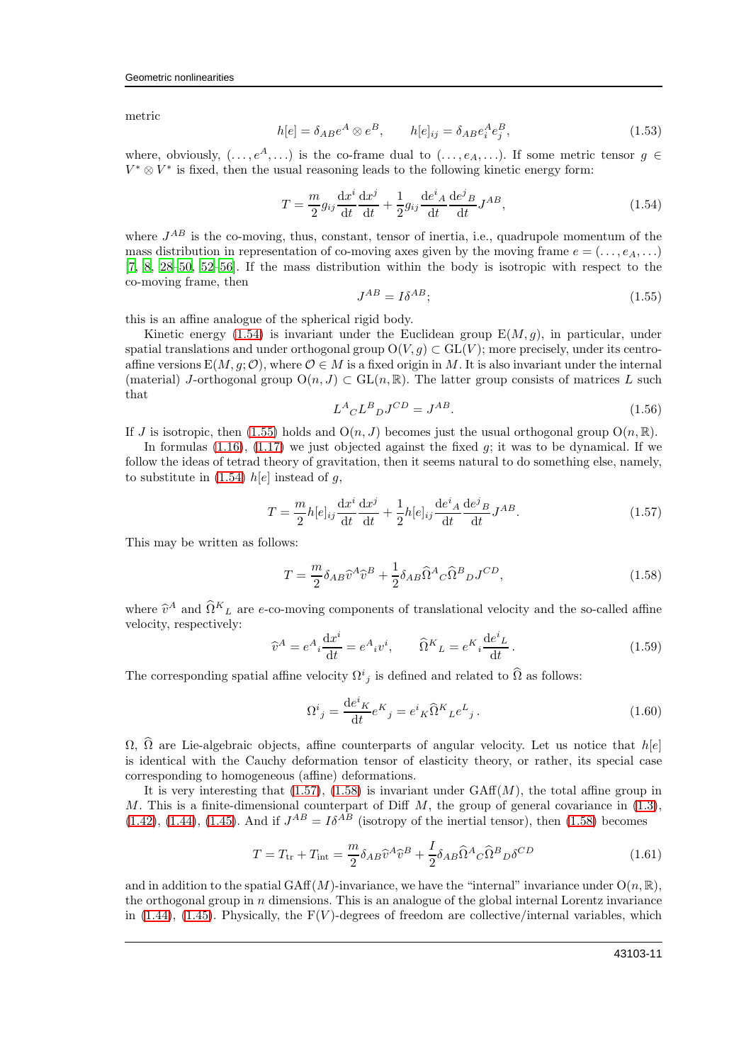metric

$$
h[e] = \delta_{AB}e^A \otimes e^B, \qquad h[e]_{ij} = \delta_{AB}e_i^A e_j^B,
$$
\n(1.53)

where, obviously,  $(\ldots, e^A, \ldots)$  is the co-frame dual to  $(\ldots, e_A, \ldots)$ . If some metric tensor  $g \in$  $V^*\otimes V^*$  is fixed, then the usual reasoning leads to the following kinetic energy form:

<span id="page-10-0"></span>
$$
T = \frac{m}{2} g_{ij} \frac{\mathrm{d}x^i}{\mathrm{d}t} \frac{\mathrm{d}x^j}{\mathrm{d}t} + \frac{1}{2} g_{ij} \frac{\mathrm{d}e^i}{\mathrm{d}t} \frac{\mathrm{d}e^j}{\mathrm{d}t} J^{AB},\tag{1.54}
$$

where  $J^{AB}$  is the co-moving, thus, constant, tensor of inertia, i.e., quadrupole momentum of the mass distribution in representation of co-moving axes given by the moving frame  $e = (\ldots, e_A, \ldots)$ [\[7,](#page-16-3) [8,](#page-16-2) [28](#page-16-23)[–50,](#page-17-1) [52](#page-17-2)[–56](#page-17-3)]. If the mass distribution within the body is isotropic with respect to the co-moving frame, then

<span id="page-10-1"></span>
$$
J^{AB} = I\delta^{AB};\tag{1.55}
$$

this is an affine analogue of the spherical rigid body.

Kinetic energy [\(1.54\)](#page-10-0) is invariant under the Euclidean group  $E(M, q)$ , in particular, under spatial translations and under orthogonal group  $O(V, g) \subset GL(V)$ ; more precisely, under its centroaffine versions  $E(M, q; \mathcal{O})$ , where  $\mathcal{O} \in M$  is a fixed origin in M. It is also invariant under the internal (material) J-orthogonal group  $O(n, J) \subset GL(n, \mathbb{R})$ . The latter group consists of matrices L such that

$$
L^A{}_C L^B{}_D J^{CD} = J^{AB}.\tag{1.56}
$$

If J is isotropic, then [\(1.55\)](#page-10-1) holds and  $O(n, J)$  becomes just the usual orthogonal group  $O(n, \mathbb{R})$ .

In formulas  $(1.16)$ ,  $(1.17)$  we just objected against the fixed g; it was to be dynamical. If we follow the ideas of tetrad theory of gravitation, then it seems natural to do something else, namely, to substitute in [\(1.54\)](#page-10-0)  $h[e]$  instead of g,

<span id="page-10-2"></span>
$$
T = \frac{m}{2}h[e]_{ij}\frac{\mathrm{d}x^{i}}{\mathrm{d}t}\frac{\mathrm{d}x^{j}}{\mathrm{d}t} + \frac{1}{2}h[e]_{ij}\frac{\mathrm{d}e^{i}{}_{A}}{\mathrm{d}t}\frac{\mathrm{d}e^{j}{}_{B}}{\mathrm{d}t}J^{AB}.
$$
\n(1.57)

This may be written as follows:

<span id="page-10-3"></span>
$$
T = \frac{m}{2} \delta_{AB} \hat{v}^A \hat{v}^B + \frac{1}{2} \delta_{AB} \hat{\Omega}^A{}_C \hat{\Omega}^B{}_D J^{CD}, \qquad (1.58)
$$

where  $\hat{v}^A$  and  $\hat{\Omega}^K{}_L$  are e-co-moving components of translational velocity and the so-called affine velocity, respectively:

$$
\widehat{v}^A = e^A{}_i \frac{\mathrm{d}x^i}{\mathrm{d}t} = e^A{}_i v^i, \qquad \widehat{\Omega}^K{}_L = e^K{}_i \frac{\mathrm{d}e^i{}_L}{\mathrm{d}t}. \tag{1.59}
$$

The corresponding spatial affine velocity  $\Omega^i{}_j$  is defined and related to  $\widehat{\Omega}$  as follows:

$$
\Omega^i{}_j = \frac{\mathrm{d}e^i{}_K}{\mathrm{d}t} e^K{}_j = e^i{}_K \widehat{\Omega}^K{}_L e^L{}_j \,. \tag{1.60}
$$

 $\Omega$ ,  $\widehat{\Omega}$  are Lie-algebraic objects, affine counterparts of angular velocity. Let us notice that  $h[e]$ is identical with the Cauchy deformation tensor of elasticity theory, or rather, its special case corresponding to homogeneous (affine) deformations.

It is very interesting that  $(1.57)$ ,  $(1.58)$  is invariant under GAff $(M)$ , the total affine group in M. This is a finite-dimensional counterpart of Diff  $M$ , the group of general covariance in  $(1.3)$ ,  $(1.42)$ ,  $(1.44)$ ,  $(1.45)$ . And if  $J^{AB} = I\delta^{AB}$  (isotropy of the inertial tensor), then  $(1.58)$  becomes

<span id="page-10-4"></span>
$$
T = T_{\rm tr} + T_{\rm int} = \frac{m}{2} \delta_{AB} \hat{v}^A \hat{v}^B + \frac{I}{2} \delta_{AB} \hat{\Omega}^A{}_C \hat{\Omega}^B{}_D \delta^{CD}
$$
(1.61)

and in addition to the spatial GAff $(M)$ -invariance, we have the "internal" invariance under  $O(n, \mathbb{R})$ , the orthogonal group in  $n$  dimensions. This is an analogue of the global internal Lorentz invariance in  $(1.44)$ ,  $(1.45)$ . Physically, the  $F(V)$ -degrees of freedom are collective/internal variables, which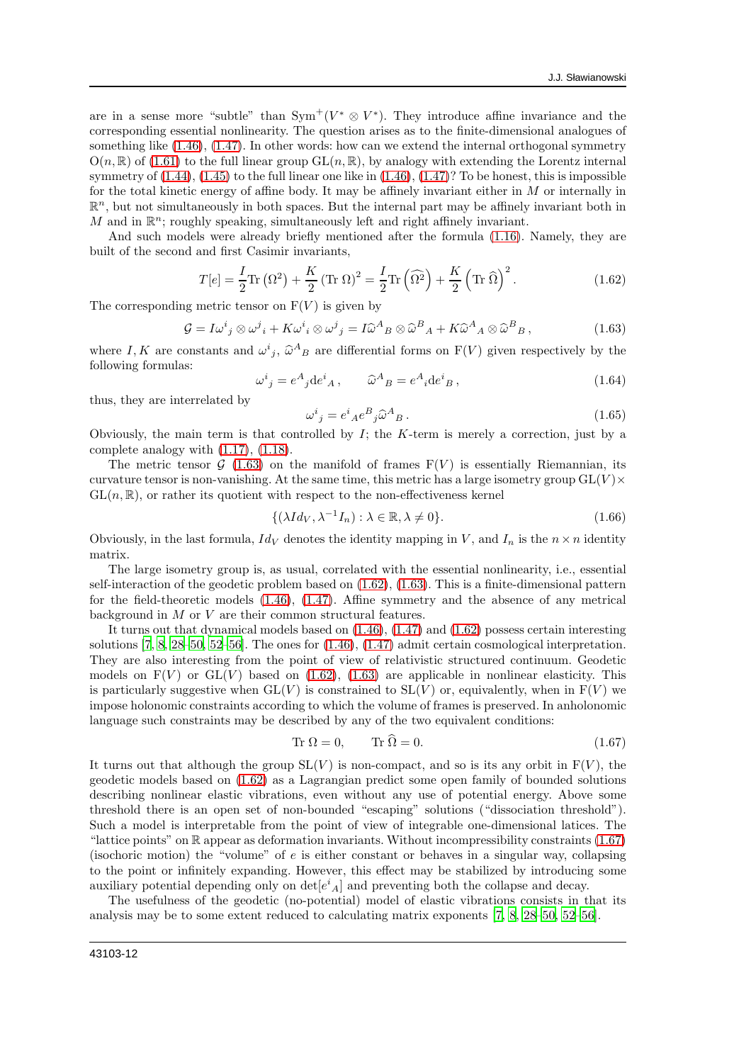are in a sense more "subtle" than  $Sym^+(V^* \otimes V^*)$ . They introduce affine invariance and the corresponding essential nonlinearity. The question arises as to the finite-dimensional analogues of something like [\(1.46\)](#page-8-0), [\(1.47\)](#page-8-1). In other words: how can we extend the internal orthogonal symmetry  $O(n, \mathbb{R})$  of [\(1.61\)](#page-10-4) to the full linear group  $GL(n, \mathbb{R})$ , by analogy with extending the Lorentz internal symmetry of  $(1.44)$ ,  $(1.45)$  to the full linear one like in  $(1.46)$ ,  $(1.47)$ ? To be honest, this is impossible for the total kinetic energy of affine body. It may be affinely invariant either in  $M$  or internally in  $\mathbb{R}^n$ , but not simultaneously in both spaces. But the internal part may be affinely invariant both in M and in  $\mathbb{R}^n$ ; roughly speaking, simultaneously left and right affinely invariant.

And such models were already briefly mentioned after the formula [\(1.16\)](#page-3-2). Namely, they are built of the second and first Casimir invariants,

<span id="page-11-1"></span>
$$
T[e] = \frac{I}{2}\text{Tr}(\Omega^2) + \frac{K}{2}(\text{Tr}\,\Omega)^2 = \frac{I}{2}\text{Tr}(\widehat{\Omega^2}) + \frac{K}{2}(\text{Tr}\,\widehat{\Omega})^2.
$$
 (1.62)

The corresponding metric tensor on  $F(V)$  is given by

<span id="page-11-0"></span>
$$
\mathcal{G} = I\omega^i{}_j \otimes \omega^j{}_i + K\omega^i{}_i \otimes \omega^j{}_j = I\widehat{\omega}^A{}_B \otimes \widehat{\omega}^B{}_A + K\widehat{\omega}^A{}_A \otimes \widehat{\omega}^B{}_B\,,\tag{1.63}
$$

where I, K are constants and  $\omega^i{}_j$ ,  $\hat{\omega}^A{}_B$  are differential forms on  $F(V)$  given respectively by the following formulas:

$$
\omega^i{}_j = e^A{}_j \mathrm{d} e^i{}_A \,, \qquad \widehat{\omega}^A{}_B = e^A{}_i \mathrm{d} e^i{}_B \,, \tag{1.64}
$$

thus, they are interrelated by

$$
\omega^i{}_j = e^i{}_A e^B{}_j \hat{\omega}^A{}_B . \tag{1.65}
$$

Obviously, the main term is that controlled by  $I$ ; the  $K$ -term is merely a correction, just by a complete analogy with [\(1.17\)](#page-4-0), [\(1.18\)](#page-4-5).

The metric tensor  $G(1.63)$  $G(1.63)$  on the manifold of frames  $F(V)$  is essentially Riemannian, its curvature tensor is non-vanishing. At the same time, this metric has a large isometry group  $GL(V) \times$  $GL(n,\mathbb{R})$ , or rather its quotient with respect to the non-effectiveness kernel

$$
\{(\lambda Id_V, \lambda^{-1} I_n) : \lambda \in \mathbb{R}, \lambda \neq 0\}.
$$
\n(1.66)

Obviously, in the last formula,  $Id_V$  denotes the identity mapping in V, and  $I_n$  is the  $n \times n$  identity matrix.

The large isometry group is, as usual, correlated with the essential nonlinearity, i.e., essential self-interaction of the geodetic problem based on [\(1.62\)](#page-11-1), [\(1.63\)](#page-11-0). This is a finite-dimensional pattern for the field-theoretic models [\(1.46\)](#page-8-0), [\(1.47\)](#page-8-1). Affine symmetry and the absence of any metrical background in M or V are their common structural features.

It turns out that dynamical models based on [\(1.46\)](#page-8-0), [\(1.47\)](#page-8-1) and [\(1.62\)](#page-11-1) possess certain interesting solutions  $[7, 8, 28–50, 52–56]$  $[7, 8, 28–50, 52–56]$  $[7, 8, 28–50, 52–56]$  $[7, 8, 28–50, 52–56]$  $[7, 8, 28–50, 52–56]$  $[7, 8, 28–50, 52–56]$  $[7, 8, 28–50, 52–56]$  $[7, 8, 28–50, 52–56]$ . The ones for  $(1.46), (1.47)$  $(1.46), (1.47)$  admit certain cosmological interpretation. They are also interesting from the point of view of relativistic structured continuum. Geodetic models on  $F(V)$  or  $GL(V)$  based on  $(1.62)$ ,  $(1.63)$  are applicable in nonlinear elasticity. This is particularly suggestive when  $GL(V)$  is constrained to  $SL(V)$  or, equivalently, when in  $F(V)$  we impose holonomic constraints according to which the volume of frames is preserved. In anholonomic language such constraints may be described by any of the two equivalent conditions:

<span id="page-11-2"></span>
$$
Tr \Omega = 0, \qquad Tr \Omega = 0. \tag{1.67}
$$

It turns out that although the group  $SL(V)$  is non-compact, and so is its any orbit in  $F(V)$ , the geodetic models based on [\(1.62\)](#page-11-1) as a Lagrangian predict some open family of bounded solutions describing nonlinear elastic vibrations, even without any use of potential energy. Above some threshold there is an open set of non-bounded "escaping" solutions ("dissociation threshold"). Such a model is interpretable from the point of view of integrable one-dimensional latices. The "lattice points" on R appear as deformation invariants. Without incompressibility constraints [\(1.67\)](#page-11-2) (isochoric motion) the "volume" of e is either constant or behaves in a singular way, collapsing to the point or infinitely expanding. However, this effect may be stabilized by introducing some auxiliary potential depending only on  $\det[e^{i}_{A}]$  and preventing both the collapse and decay.

The usefulness of the geodetic (no-potential) model of elastic vibrations consists in that its analysis may be to some extent reduced to calculating matrix exponents [\[7,](#page-16-3) [8,](#page-16-2) [28](#page-16-23)[–50,](#page-17-1) [52](#page-17-2)[–56\]](#page-17-3).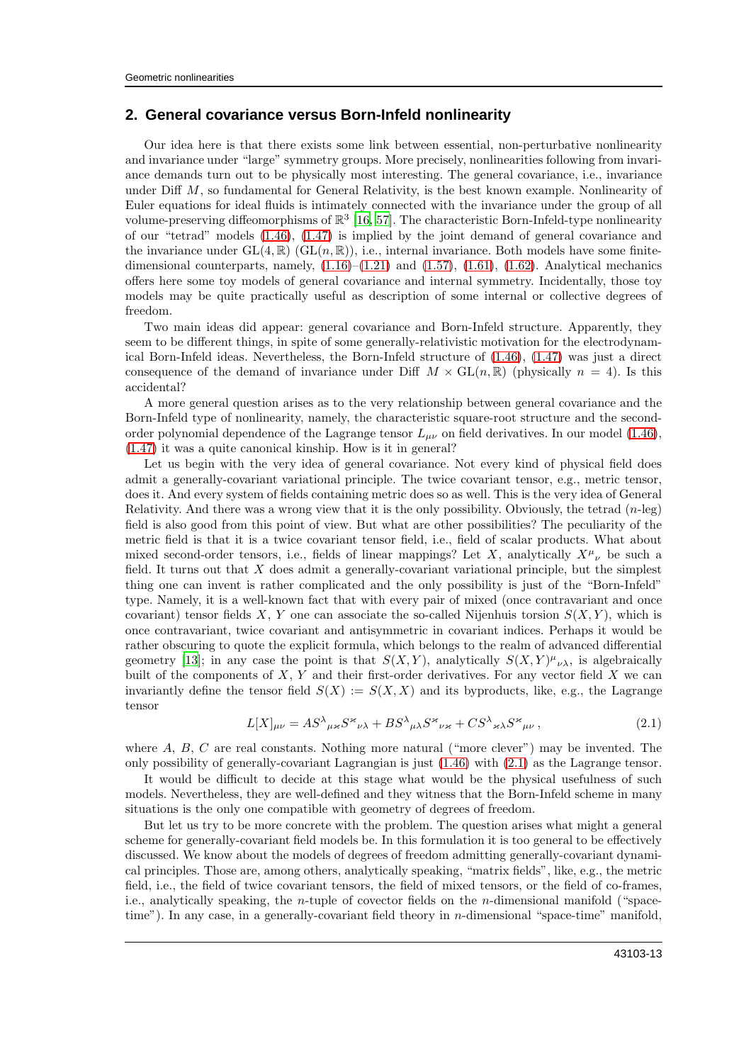### **2. General covariance versus Born-Infeld nonlinearity**

Our idea here is that there exists some link between essential, non-perturbative nonlinearity and invariance under "large" symmetry groups. More precisely, nonlinearities following from invariance demands turn out to be physically most interesting. The general covariance, i.e., invariance under Diff M, so fundamental for General Relativity, is the best known example. Nonlinearity of Euler equations for ideal fluids is intimately connected with the invariance under the group of all volume-preserving diffeomorphisms of  $\mathbb{R}^3$  [\[16,](#page-16-10) [57](#page-17-4)]. The characteristic Born-Infeld-type nonlinearity of our "tetrad" models [\(1.46\)](#page-8-0), [\(1.47\)](#page-8-1) is implied by the joint demand of general covariance and the invariance under  $GL(4,\mathbb{R})$  ( $GL(n,\mathbb{R})$ ), i.e., internal invariance. Both models have some finitedimensional counterparts, namely,  $(1.16)$ – $(1.21)$  and  $(1.57)$ ,  $(1.61)$ ,  $(1.62)$ . Analytical mechanics offers here some toy models of general covariance and internal symmetry. Incidentally, those toy models may be quite practically useful as description of some internal or collective degrees of freedom.

Two main ideas did appear: general covariance and Born-Infeld structure. Apparently, they seem to be different things, in spite of some generally-relativistic motivation for the electrodynamical Born-Infeld ideas. Nevertheless, the Born-Infeld structure of [\(1.46\)](#page-8-0), [\(1.47\)](#page-8-1) was just a direct consequence of the demand of invariance under Diff  $M \times GL(n, \mathbb{R})$  (physically  $n = 4$ ). Is this accidental?

A more general question arises as to the very relationship between general covariance and the Born-Infeld type of nonlinearity, namely, the characteristic square-root structure and the secondorder polynomial dependence of the Lagrange tensor  $L_{\mu\nu}$  on field derivatives. In our model [\(1.46\)](#page-8-0), [\(1.47\)](#page-8-1) it was a quite canonical kinship. How is it in general?

Let us begin with the very idea of general covariance. Not every kind of physical field does admit a generally-covariant variational principle. The twice covariant tensor, e.g., metric tensor, does it. And every system of fields containing metric does so as well. This is the very idea of General Relativity. And there was a wrong view that it is the only possibility. Obviously, the tetrad  $(n-\text{leg})$ field is also good from this point of view. But what are other possibilities? The peculiarity of the metric field is that it is a twice covariant tensor field, i.e., field of scalar products. What about mixed second-order tensors, i.e., fields of linear mappings? Let X, analytically  $X^{\mu}{}_{\nu}$  be such a field. It turns out that  $X$  does admit a generally-covariant variational principle, but the simplest thing one can invent is rather complicated and the only possibility is just of the "Born-Infeld" type. Namely, it is a well-known fact that with every pair of mixed (once contravariant and once covariant) tensor fields X, Y one can associate the so-called Nijenhuis torsion  $S(X, Y)$ , which is once contravariant, twice covariant and antisymmetric in covariant indices. Perhaps it would be rather obscuring to quote the explicit formula, which belongs to the realm of advanced differential geometry [\[13\]](#page-16-6); in any case the point is that  $S(X,Y)$ , analytically  $S(X,Y)_{\nu}^{\mu}{}_{\nu}{}_{\lambda}{}$ , is algebraically built of the components of  $X, Y$  and their first-order derivatives. For any vector field  $X$  we can invariantly define the tensor field  $S(X) := S(X, X)$  and its byproducts, like, e.g., the Lagrange tensor

<span id="page-12-0"></span>
$$
L[X]_{\mu\nu} = AS^{\lambda}{}_{\mu\nu}S^{\nu}{}_{\nu\lambda} + BS^{\lambda}{}_{\mu\lambda}S^{\nu}{}_{\nu\nu} + CS^{\lambda}{}_{\nu\lambda}S^{\nu}{}_{\mu\nu},\tag{2.1}
$$

where  $A, B, C$  are real constants. Nothing more natural ("more clever") may be invented. The only possibility of generally-covariant Lagrangian is just [\(1.46\)](#page-8-0) with [\(2.1\)](#page-12-0) as the Lagrange tensor.

It would be difficult to decide at this stage what would be the physical usefulness of such models. Nevertheless, they are well-defined and they witness that the Born-Infeld scheme in many situations is the only one compatible with geometry of degrees of freedom.

But let us try to be more concrete with the problem. The question arises what might a general scheme for generally-covariant field models be. In this formulation it is too general to be effectively discussed. We know about the models of degrees of freedom admitting generally-covariant dynamical principles. Those are, among others, analytically speaking, "matrix fields", like, e.g., the metric field, i.e., the field of twice covariant tensors, the field of mixed tensors, or the field of co-frames, i.e., analytically speaking, the n-tuple of covector fields on the n-dimensional manifold ("spacetime"). In any case, in a generally-covariant field theory in n-dimensional "space-time" manifold,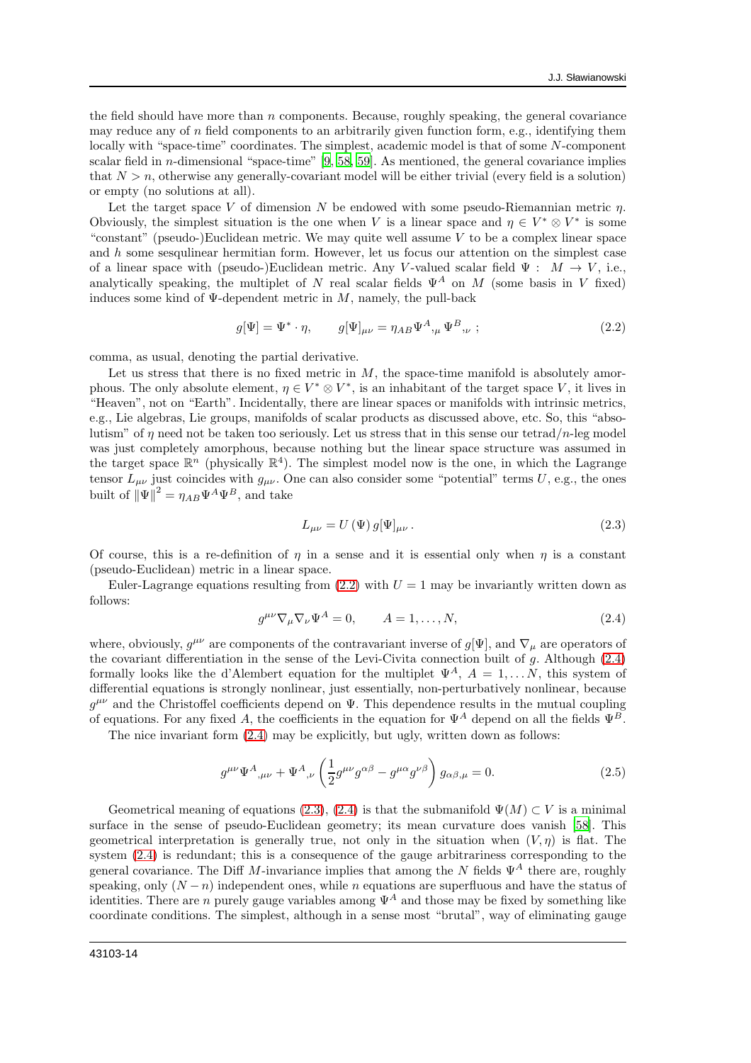the field should have more than  $n$  components. Because, roughly speaking, the general covariance may reduce any of  $n$  field components to an arbitrarily given function form, e.g., identifying them locally with "space-time" coordinates. The simplest, academic model is that of some N-component scalar field in  $n$ -dimensional "space-time" [\[9,](#page-16-15) [58,](#page-17-5) [59](#page-17-6)]. As mentioned, the general covariance implies that  $N > n$ , otherwise any generally-covariant model will be either trivial (every field is a solution) or empty (no solutions at all).

Let the target space V of dimension N be endowed with some pseudo-Riemannian metric  $\eta$ . Obviously, the simplest situation is the one when V is a linear space and  $\eta \in V^* \otimes V^*$  is some "constant" (pseudo-)Euclidean metric. We may quite well assume  $V$  to be a complex linear space and  $h$  some sesqulinear hermitian form. However, let us focus our attention on the simplest case of a linear space with (pseudo-)Euclidean metric. Any V-valued scalar field  $\Psi : M \to V$ , i.e., analytically speaking, the multiplet of N real scalar fields  $\Psi^A$  on M (some basis in V fixed) induces some kind of  $\Psi$ -dependent metric in M, namely, the pull-back

<span id="page-13-0"></span>
$$
g[\Psi] = \Psi^* \cdot \eta, \qquad g[\Psi]_{\mu\nu} = \eta_{AB} \Psi^A,_{\mu} \Psi^B,_{\nu};
$$
\n(2.2)

comma, as usual, denoting the partial derivative.

Let us stress that there is no fixed metric in  $M$ , the space-time manifold is absolutely amorphous. The only absolute element,  $\eta \in V^* \otimes V^*$ , is an inhabitant of the target space V, it lives in "Heaven", not on "Earth". Incidentally, there are linear spaces or manifolds with intrinsic metrics, e.g., Lie algebras, Lie groups, manifolds of scalar products as discussed above, etc. So, this "absolutism" of  $\eta$  need not be taken too seriously. Let us stress that in this sense our tetrad/n-leg model was just completely amorphous, because nothing but the linear space structure was assumed in the target space  $\mathbb{R}^n$  (physically  $\mathbb{R}^4$ ). The simplest model now is the one, in which the Lagrange tensor  $L_{\mu\nu}$  just coincides with  $g_{\mu\nu}$ . One can also consider some "potential" terms U, e.g., the ones built of  $\|\Psi\|^2 = \eta_{AB} \Psi^A \Psi^B$ , and take

<span id="page-13-2"></span>
$$
L_{\mu\nu} = U(\Psi) g[\Psi]_{\mu\nu}.
$$
\n(2.3)

Of course, this is a re-definition of  $\eta$  in a sense and it is essential only when  $\eta$  is a constant (pseudo-Euclidean) metric in a linear space.

Euler-Lagrange equations resulting from  $(2.2)$  with  $U = 1$  may be invariantly written down as follows:

<span id="page-13-1"></span>
$$
g^{\mu\nu}\nabla_{\mu}\nabla_{\nu}\Psi^{A} = 0, \qquad A = 1, \dots, N,
$$
\n(2.4)

where, obviously,  $g^{\mu\nu}$  are components of the contravariant inverse of  $g[\Psi]$ , and  $\nabla_{\mu}$  are operators of the covariant differentiation in the sense of the Levi-Civita connection built of g. Although [\(2.4\)](#page-13-1) formally looks like the d'Alembert equation for the multiplet  $\Psi^A$ ,  $A = 1, \ldots, N$ , this system of differential equations is strongly nonlinear, just essentially, non-perturbatively nonlinear, because  $g^{\mu\nu}$  and the Christoffel coefficients depend on  $\Psi$ . This dependence results in the mutual coupling of equations. For any fixed A, the coefficients in the equation for  $\Psi^A$  depend on all the fields  $\Psi^B$ .

The nice invariant form [\(2.4\)](#page-13-1) may be explicitly, but ugly, written down as follows:

<span id="page-13-3"></span>
$$
g^{\mu\nu}\Psi^{A}{}_{,\mu\nu} + \Psi^{A}{}_{,\nu}\left(\frac{1}{2}g^{\mu\nu}g^{\alpha\beta} - g^{\mu\alpha}g^{\nu\beta}\right)g_{\alpha\beta,\mu} = 0. \tag{2.5}
$$

Geometrical meaning of equations [\(2.3\)](#page-13-2), [\(2.4\)](#page-13-1) is that the submanifold  $\Psi(M) \subset V$  is a minimal surface in the sense of pseudo-Euclidean geometry; its mean curvature does vanish [\[58](#page-17-5)]. This geometrical interpretation is generally true, not only in the situation when  $(V, \eta)$  is flat. The system [\(2.4\)](#page-13-1) is redundant; this is a consequence of the gauge arbitrariness corresponding to the general covariance. The Diff M-invariance implies that among the N fields  $\Psi^A$  there are, roughly speaking, only  $(N - n)$  independent ones, while n equations are superfluous and have the status of identities. There are *n* purely gauge variables among  $\Psi^A$  and those may be fixed by something like coordinate conditions. The simplest, although in a sense most "brutal", way of eliminating gauge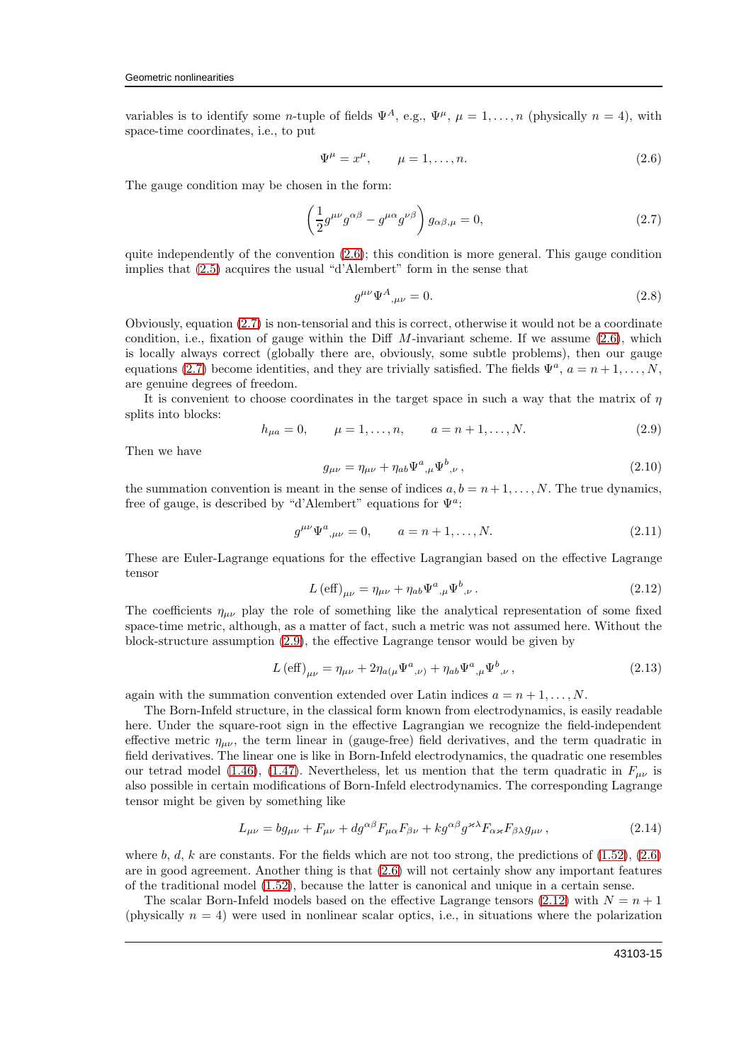variables is to identify some n-tuple of fields  $\Psi^A$ , e.g.,  $\Psi^{\mu}$ ,  $\mu = 1, \ldots, n$  (physically  $n = 4$ ), with space-time coordinates, i.e., to put

<span id="page-14-0"></span>
$$
\Psi^{\mu} = x^{\mu}, \qquad \mu = 1, \dots, n. \tag{2.6}
$$

The gauge condition may be chosen in the form:

<span id="page-14-1"></span>
$$
\left(\frac{1}{2}g^{\mu\nu}g^{\alpha\beta} - g^{\mu\alpha}g^{\nu\beta}\right)g_{\alpha\beta,\mu} = 0, \tag{2.7}
$$

quite independently of the convention  $(2.6)$ ; this condition is more general. This gauge condition implies that [\(2.5\)](#page-13-3) acquires the usual "d'Alembert" form in the sense that

$$
g^{\mu\nu}\Psi^A{}_{,\mu\nu} = 0.\tag{2.8}
$$

Obviously, equation [\(2.7\)](#page-14-1) is non-tensorial and this is correct, otherwise it would not be a coordinate condition, i.e., fixation of gauge within the Diff  $M$ -invariant scheme. If we assume  $(2.6)$ , which is locally always correct (globally there are, obviously, some subtle problems), then our gauge equations [\(2.7\)](#page-14-1) become identities, and they are trivially satisfied. The fields  $\Psi^a$ ,  $a = n + 1, ..., N$ , are genuine degrees of freedom.

It is convenient to choose coordinates in the target space in such a way that the matrix of  $\eta$ splits into blocks:

<span id="page-14-2"></span>
$$
h_{\mu a} = 0, \qquad \mu = 1, \dots, n, \qquad a = n + 1, \dots, N. \tag{2.9}
$$

Then we have

$$
g_{\mu\nu} = \eta_{\mu\nu} + \eta_{ab} \Psi^{a}{}_{,\mu} \Psi^{b}{}_{,\nu} \,, \tag{2.10}
$$

the summation convention is meant in the sense of indices  $a, b = n + 1, \ldots, N$ . The true dynamics, free of gauge, is described by "d'Alembert" equations for  $\Psi^a$ :

$$
g^{\mu\nu}\Psi^{a}{}_{,\mu\nu} = 0, \qquad a = n+1, \dots, N. \tag{2.11}
$$

These are Euler-Lagrange equations for the effective Lagrangian based on the effective Lagrange tensor

<span id="page-14-3"></span>
$$
L\left(\text{eff}\right)_{\mu\nu} = \eta_{\mu\nu} + \eta_{ab}\Psi^{a}{}_{,\mu}\Psi^{b}{}_{,\nu} \,. \tag{2.12}
$$

The coefficients  $\eta_{\mu\nu}$  play the role of something like the analytical representation of some fixed space-time metric, although, as a matter of fact, such a metric was not assumed here. Without the block-structure assumption [\(2.9\)](#page-14-2), the effective Lagrange tensor would be given by

$$
L\left(\text{eff}\right)_{\mu\nu} = \eta_{\mu\nu} + 2\eta_{a(\mu}\Psi^{a}{}_{,\nu)} + \eta_{ab}\Psi^{a}{}_{,\mu}\Psi^{b}{}_{,\nu}\,,\tag{2.13}
$$

again with the summation convention extended over Latin indices  $a = n + 1, \ldots, N$ .

The Born-Infeld structure, in the classical form known from electrodynamics, is easily readable here. Under the square-root sign in the effective Lagrangian we recognize the field-independent effective metric  $\eta_{\mu\nu}$ , the term linear in (gauge-free) field derivatives, and the term quadratic in field derivatives. The linear one is like in Born-Infeld electrodynamics, the quadratic one resembles our tetrad model [\(1.46\)](#page-8-0), [\(1.47\)](#page-8-1). Nevertheless, let us mention that the term quadratic in  $F_{\mu\nu}$  is also possible in certain modifications of Born-Infeld electrodynamics. The corresponding Lagrange tensor might be given by something like

$$
L_{\mu\nu} = bg_{\mu\nu} + F_{\mu\nu} + dg^{\alpha\beta} F_{\mu\alpha} F_{\beta\nu} + kg^{\alpha\beta} g^{\nu\lambda} F_{\alpha\kappa} F_{\beta\lambda} g_{\mu\nu} , \qquad (2.14)
$$

where b, d, k are constants. For the fields which are not too strong, the predictions of  $(1.52)$ ,  $(2.6)$ are in good agreement. Another thing is that [\(2.6\)](#page-14-0) will not certainly show any important features of the traditional model [\(1.52\)](#page-9-0), because the latter is canonical and unique in a certain sense.

The scalar Born-Infeld models based on the effective Lagrange tensors  $(2.12)$  with  $N = n + 1$ (physically  $n = 4$ ) were used in nonlinear scalar optics, i.e., in situations where the polarization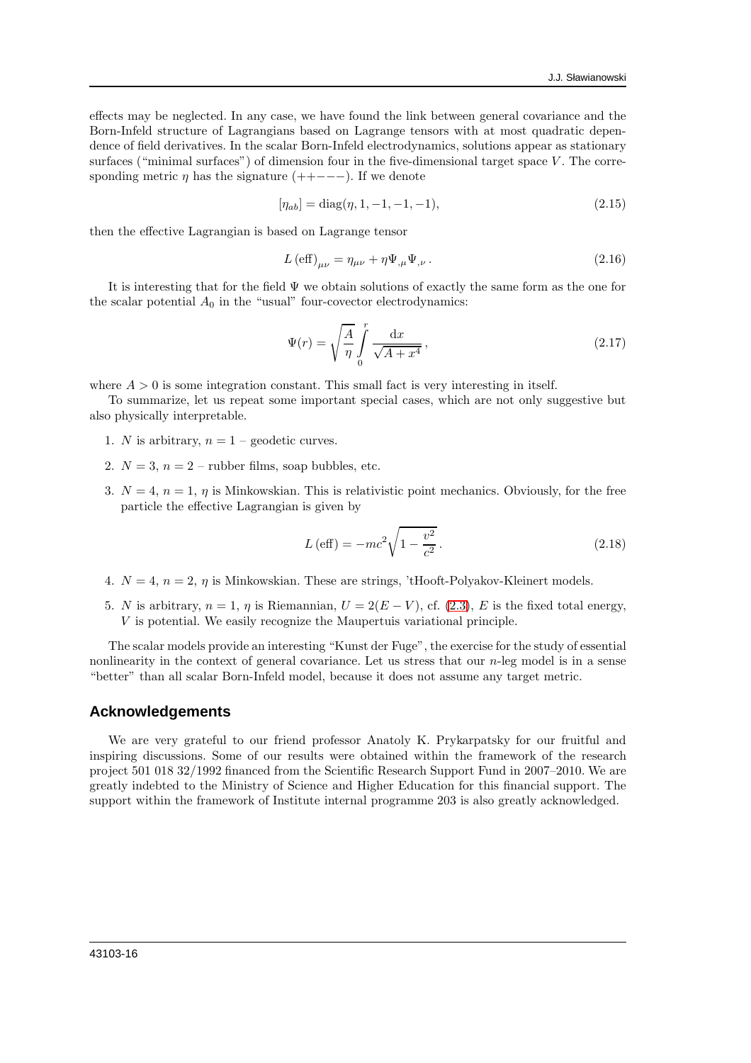effects may be neglected. In any case, we have found the link between general covariance and the Born-Infeld structure of Lagrangians based on Lagrange tensors with at most quadratic dependence of field derivatives. In the scalar Born-Infeld electrodynamics, solutions appear as stationary surfaces ("minimal surfaces") of dimension four in the five-dimensional target space  $V$ . The corresponding metric  $\eta$  has the signature (++−−−). If we denote

$$
[\eta_{ab}] = \text{diag}(\eta, 1, -1, -1, -1),\tag{2.15}
$$

then the effective Lagrangian is based on Lagrange tensor

$$
L\left(\text{eff}\right)_{\mu\nu} = \eta_{\mu\nu} + \eta \Psi_{,\mu} \Psi_{,\nu} \,. \tag{2.16}
$$

It is interesting that for the field  $\Psi$  we obtain solutions of exactly the same form as the one for the scalar potential  $A_0$  in the "usual" four-covector electrodynamics:

$$
\Psi(r) = \sqrt{\frac{A}{\eta}} \int_{0}^{r} \frac{\mathrm{d}x}{\sqrt{A+x^4}},\tag{2.17}
$$

where  $A > 0$  is some integration constant. This small fact is very interesting in itself.

To summarize, let us repeat some important special cases, which are not only suggestive but also physically interpretable.

- 1. N is arbitrary,  $n = 1$  geodetic curves.
- 2.  $N = 3$ ,  $n = 2$  rubber films, soap bubbles, etc.
- 3.  $N = 4$ ,  $n = 1$ ,  $\eta$  is Minkowskian. This is relativistic point mechanics. Obviously, for the free particle the effective Lagrangian is given by

$$
L\left(\text{eff}\right) = -mc^2\sqrt{1 - \frac{v^2}{c^2}}.
$$
\n(2.18)

- 4.  $N = 4$ ,  $n = 2$ ,  $\eta$  is Minkowskian. These are strings, 'tHooft-Polyakov-Kleinert models.
- 5. N is arbitrary,  $n = 1$ ,  $\eta$  is Riemannian,  $U = 2(E V)$ , cf. [\(2.3\)](#page-13-2), E is the fixed total energy, V is potential. We easily recognize the Maupertuis variational principle.

The scalar models provide an interesting "Kunst der Fuge", the exercise for the study of essential nonlinearity in the context of general covariance. Let us stress that our *n*-leg model is in a sense "better" than all scalar Born-Infeld model, because it does not assume any target metric.

#### **Acknowledgements**

We are very grateful to our friend professor Anatoly K. Prykarpatsky for our fruitful and inspiring discussions. Some of our results were obtained within the framework of the research project 501 018 32/1992 financed from the Scientific Research Support Fund in 2007–2010. We are greatly indebted to the Ministry of Science and Higher Education for this financial support. The support within the framework of Institute internal programme 203 is also greatly acknowledged.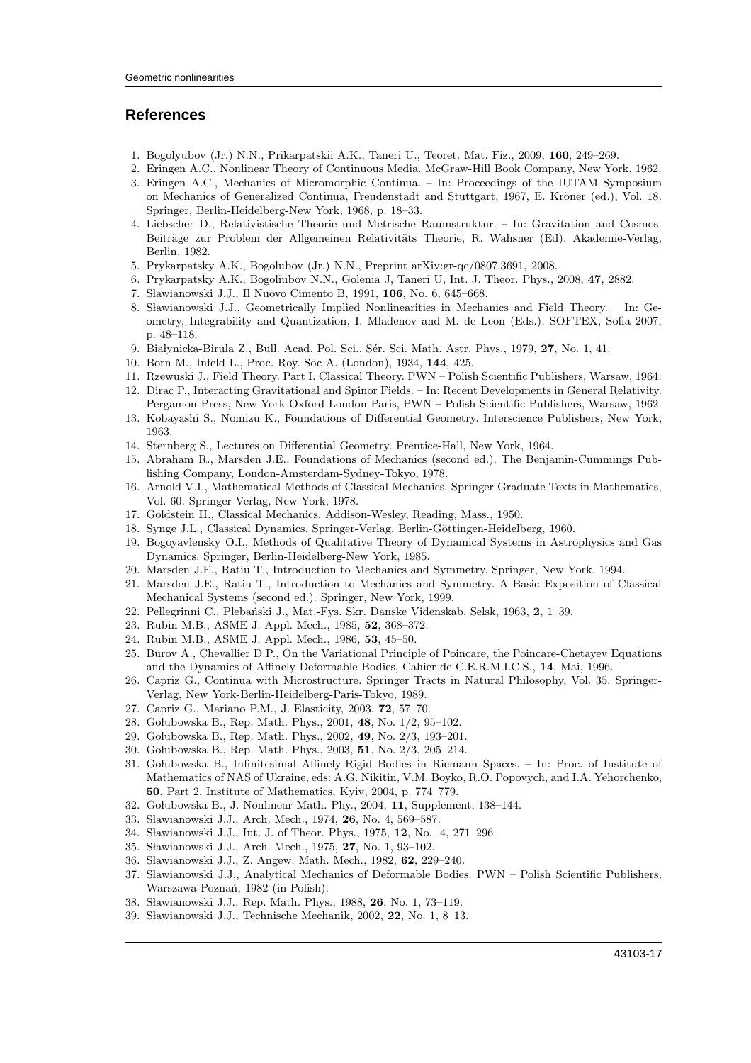### <span id="page-16-0"></span>**References**

- <span id="page-16-1"></span>1. Bogolyubov (Jr.) N.N., Prikarpatskii A.K., Taneri U., Teoret. Mat. Fiz., 2009, 160, 249–269.
- <span id="page-16-18"></span>2. Eringen A.C., Nonlinear Theory of Continuous Media. McGraw-Hill Book Company, New York, 1962.
- <span id="page-16-19"></span>3. Eringen A.C., Mechanics of Micromorphic Continua. – In: Proceedings of the IUTAM Symposium on Mechanics of Generalized Continua, Freudenstadt and Stuttgart, 1967, E. Kröner (ed.), Vol. 18. Springer, Berlin-Heidelberg-New York, 1968, p. 18–33.
- 4. Liebscher D., Relativistische Theorie und Metrische Raumstruktur. In: Gravitation and Cosmos. Beiträge zur Problem der Allgemeinen Relativitäts Theorie, R. Wahsner (Ed). Akademie-Verlag, Berlin, 1982.
- <span id="page-16-16"></span>5. Prykarpatsky A.K., Bogolubov (Jr.) N.N., Preprint arXiv:gr-qc/0807.3691, 2008.
- <span id="page-16-17"></span>6. Prykarpatsky A.K., Bogoliubov N.N., Golenia J, Taneri U, Int. J. Theor. Phys., 2008, 47, 2882.
- <span id="page-16-3"></span>7. Sławianowski J.J., Il Nuovo Cimento B, 1991, 106, No. 6, 645–668.
- <span id="page-16-2"></span>8. Sławianowski J.J., Geometrically Implied Nonlinearities in Mechanics and Field Theory. – In: Geometry, Integrability and Quantization, I. Mladenov and M. de Leon (Eds.). SOFTEX, Sofia 2007, p. 48–118.
- <span id="page-16-15"></span>9. Białynicka-Birula Z., Bull. Acad. Pol. Sci., Sér. Sci. Math. Astr. Phys., 1979, 27, No. 1, 41.
- <span id="page-16-14"></span>10. Born M., Infeld L., Proc. Roy. Soc A. (London), 1934, 144, 425.
- <span id="page-16-4"></span>11. Rzewuski J., Field Theory. Part I. Classical Theory. PWN – Polish Scientific Publishers, Warsaw, 1964.
- <span id="page-16-5"></span>12. Dirac P., Interacting Gravitational and Spinor Fields. – In: Recent Developments in General Relativity. Pergamon Press, New York-Oxford-London-Paris, PWN – Polish Scientific Publishers, Warsaw, 1962.
- <span id="page-16-6"></span>13. Kobayashi S., Nomizu K., Foundations of Differential Geometry. Interscience Publishers, New York, 1963.
- <span id="page-16-7"></span>14. Sternberg S., Lectures on Differential Geometry. Prentice-Hall, New York, 1964.
- <span id="page-16-9"></span>15. Abraham R., Marsden J.E., Foundations of Mechanics (second ed.). The Benjamin-Cummings Publishing Company, London-Amsterdam-Sydney-Tokyo, 1978.
- <span id="page-16-10"></span>16. Arnold V.I., Mathematical Methods of Classical Mechanics. Springer Graduate Texts in Mathematics, Vol. 60. Springer-Verlag, New York, 1978.
- 17. Goldstein H., Classical Mechanics. Addison-Wesley, Reading, Mass., 1950.
- <span id="page-16-8"></span>18. Synge J.L., Classical Dynamics. Springer-Verlag, Berlin-Göttingen-Heidelberg, 1960.
- <span id="page-16-11"></span>19. Bogoyavlensky O.I., Methods of Qualitative Theory of Dynamical Systems in Astrophysics and Gas Dynamics. Springer, Berlin-Heidelberg-New York, 1985.
- 20. Marsden J.E., Ratiu T., Introduction to Mechanics and Symmetry. Springer, New York, 1994.
- <span id="page-16-12"></span>21. Marsden J.E., Ratiu T., Introduction to Mechanics and Symmetry. A Basic Exposition of Classical Mechanical Systems (second ed.). Springer, New York, 1999.
- <span id="page-16-13"></span>22. Pellegrinni C., Pleba´nski J., Mat.-Fys. Skr. Danske Videnskab. Selsk, 1963, 2, 1–39.
- <span id="page-16-20"></span>23. Rubin M.B., ASME J. Appl. Mech., 1985, 52, 368–372.
- <span id="page-16-21"></span>24. Rubin M.B., ASME J. Appl. Mech., 1986, 53, 45–50.
- <span id="page-16-22"></span>25. Burov A., Chevallier D.P., On the Variational Principle of Poincare, the Poincare-Chetayev Equations and the Dynamics of Affinely Deformable Bodies, Cahier de C.E.R.M.I.C.S., 14, Mai, 1996.
- 26. Capriz G., Continua with Microstructure. Springer Tracts in Natural Philosophy, Vol. 35. Springer-Verlag, New York-Berlin-Heidelberg-Paris-Tokyo, 1989.
- 27. Capriz G., Mariano P.M., J. Elasticity, 2003, 72, 57–70.
- <span id="page-16-23"></span>28. Golubowska B., Rep. Math. Phys., 2001, 48, No. 1/2, 95-102.
- 29. Gołubowska B., Rep. Math. Phys., 2002, 49, No. 2/3, 193-201.
- 30. Golubowska B., Rep. Math. Phys., 2003, 51, No. 2/3, 205-214.
- 31. Go lubowska B., Infinitesimal Affinely-Rigid Bodies in Riemann Spaces. In: Proc. of Institute of Mathematics of NAS of Ukraine, eds: A.G. Nikitin, V.M. Boyko, R.O. Popovych, and I.A. Yehorchenko, 50, Part 2, Institute of Mathematics, Kyiv, 2004, p. 774–779.
- 32. Golubowska B., J. Nonlinear Math. Phy., 2004, 11, Supplement, 138-144.
- 33. Sławianowski J.J., Arch. Mech., 1974, 26, No. 4, 569-587.
- 34. Sławianowski J.J., Int. J. of Theor. Phys., 1975, 12, No. 4, 271-296.
- 35. Sławianowski J.J., Arch. Mech., 1975, 27, No. 1, 93-102.
- 36. Sławianowski J.J., Z. Angew. Math. Mech., 1982, 62, 229–240.
- 37. Sławianowski J.J., Analytical Mechanics of Deformable Bodies. PWN Polish Scientific Publishers, Warszawa-Poznań, 1982 (in Polish).
- 38. Sławianowski J.J., Rep. Math. Phys., 1988, 26, No. 1, 73-119.
- 39. Sławianowski J.J., Technische Mechanik, 2002, 22, No. 1, 8-13.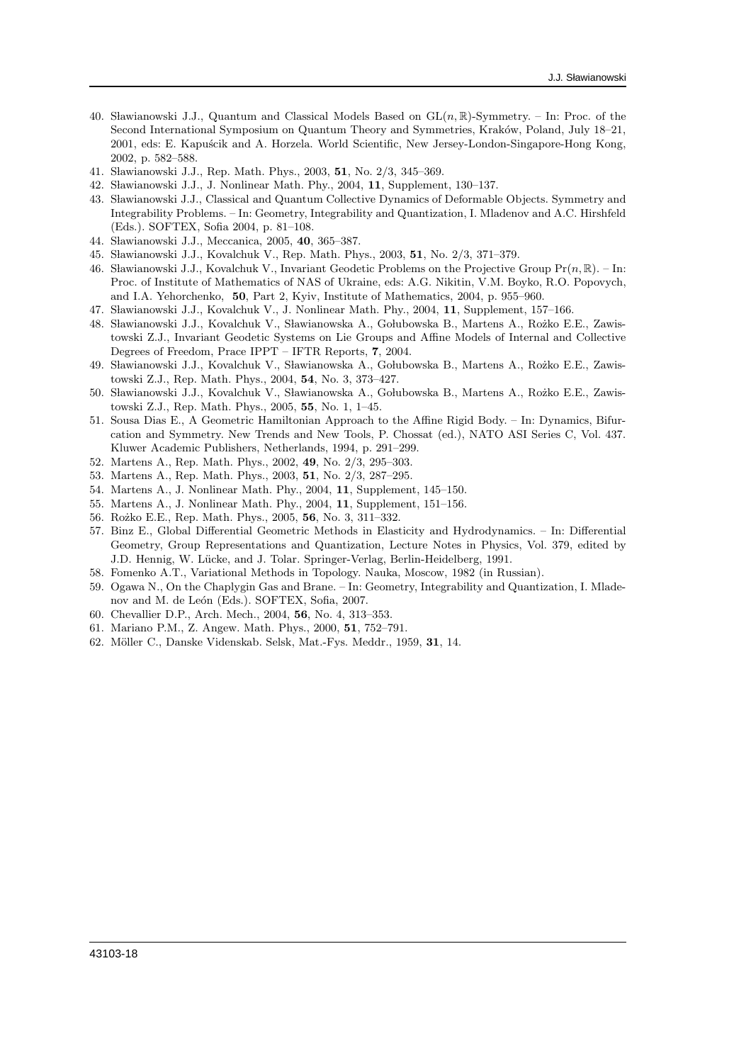- 40. Sławianowski J.J., Quantum and Classical Models Based on  $GL(n, \mathbb{R})$ -Symmetry. In: Proc. of the Second International Symposium on Quantum Theory and Symmetries, Kraków, Poland, July 18–21, 2001, eds: E. Kapuścik and A. Horzela. World Scientific, New Jersey-London-Singapore-Hong Kong, 2002, p. 582–588.
- 41. Sławianowski J.J., Rep. Math. Phys., 2003, 51, No. 2/3, 345-369.
- 42. Sławianowski J.J., J. Nonlinear Math. Phy., 2004, 11, Supplement, 130-137.
- 43. S lawianowski J.J., Classical and Quantum Collective Dynamics of Deformable Objects. Symmetry and Integrability Problems. – In: Geometry, Integrability and Quantization, I. Mladenov and A.C. Hirshfeld (Eds.). SOFTEX, Sofia 2004, p. 81–108.
- 44. Sławianowski J.J., Meccanica, 2005, 40, 365-387.
- 45. Sławianowski J.J., Kovalchuk V., Rep. Math. Phys., 2003, 51, No. 2/3, 371–379.
- 46. Sławianowski J.J., Kovalchuk V., Invariant Geodetic Problems on the Projective Group  $Pr(n, \mathbb{R})$ . In: Proc. of Institute of Mathematics of NAS of Ukraine, eds: A.G. Nikitin, V.M. Boyko, R.O. Popovych, and I.A. Yehorchenko, 50, Part 2, Kyiv, Institute of Mathematics, 2004, p. 955–960.
- 47. Sławianowski J.J., Kovalchuk V., J. Nonlinear Math. Phy., 2004, 11, Supplement, 157-166.
- 48. Sławianowski J.J., Kovalchuk V., Sławianowska A., Gołubowska B., Martens A., Rożko E.E., Zawistowski Z.J., Invariant Geodetic Systems on Lie Groups and Affine Models of Internal and Collective Degrees of Freedom, Prace IPPT – IFTR Reports, 7, 2004.
- 49. Sławianowski J.J., Kovalchuk V., Sławianowska A., Gołubowska B., Martens A., Rożko E.E., Zawistowski Z.J., Rep. Math. Phys., 2004, 54, No. 3, 373–427.
- <span id="page-17-1"></span>50. Sławianowski J.J., Kovalchuk V., Sławianowska A., Gołubowska B., Martens A., Rożko E.E., Zawistowski Z.J., Rep. Math. Phys., 2005, 55, No. 1, 1–45.
- <span id="page-17-0"></span>51. Sousa Dias E., A Geometric Hamiltonian Approach to the Affine Rigid Body. – In: Dynamics, Bifurcation and Symmetry. New Trends and New Tools, P. Chossat (ed.), NATO ASI Series C, Vol. 437. Kluwer Academic Publishers, Netherlands, 1994, p. 291–299.
- <span id="page-17-2"></span>52. Martens A., Rep. Math. Phys., 2002, 49, No. 2/3, 295–303.
- 53. Martens A., Rep. Math. Phys., 2003, 51, No. 2/3, 287–295.
- 54. Martens A., J. Nonlinear Math. Phy., 2004, 11, Supplement, 145–150.
- 55. Martens A., J. Nonlinear Math. Phy., 2004, 11, Supplement, 151–156.
- <span id="page-17-3"></span>56. Rożko E.E., Rep. Math. Phys., 2005, 56, No. 3, 311-332.
- <span id="page-17-4"></span>57. Binz E., Global Differential Geometric Methods in Elasticity and Hydrodynamics. – In: Differential Geometry, Group Representations and Quantization, Lecture Notes in Physics, Vol. 379, edited by J.D. Hennig, W. Lücke, and J. Tolar. Springer-Verlag, Berlin-Heidelberg, 1991.
- <span id="page-17-5"></span>58. Fomenko A.T., Variational Methods in Topology. Nauka, Moscow, 1982 (in Russian).
- <span id="page-17-6"></span>59. Ogawa N., On the Chaplygin Gas and Brane. – In: Geometry, Integrability and Quantization, I. Mladenov and M. de León (Eds.). SOFTEX, Sofia, 2007.
- 60. Chevallier D.P., Arch. Mech., 2004, 56, No. 4, 313–353.
- 61. Mariano P.M., Z. Angew. Math. Phys., 2000, 51, 752–791.
- 62. Möller C., Danske Videnskab. Selsk, Mat.-Fys. Meddr., 1959, 31, 14.